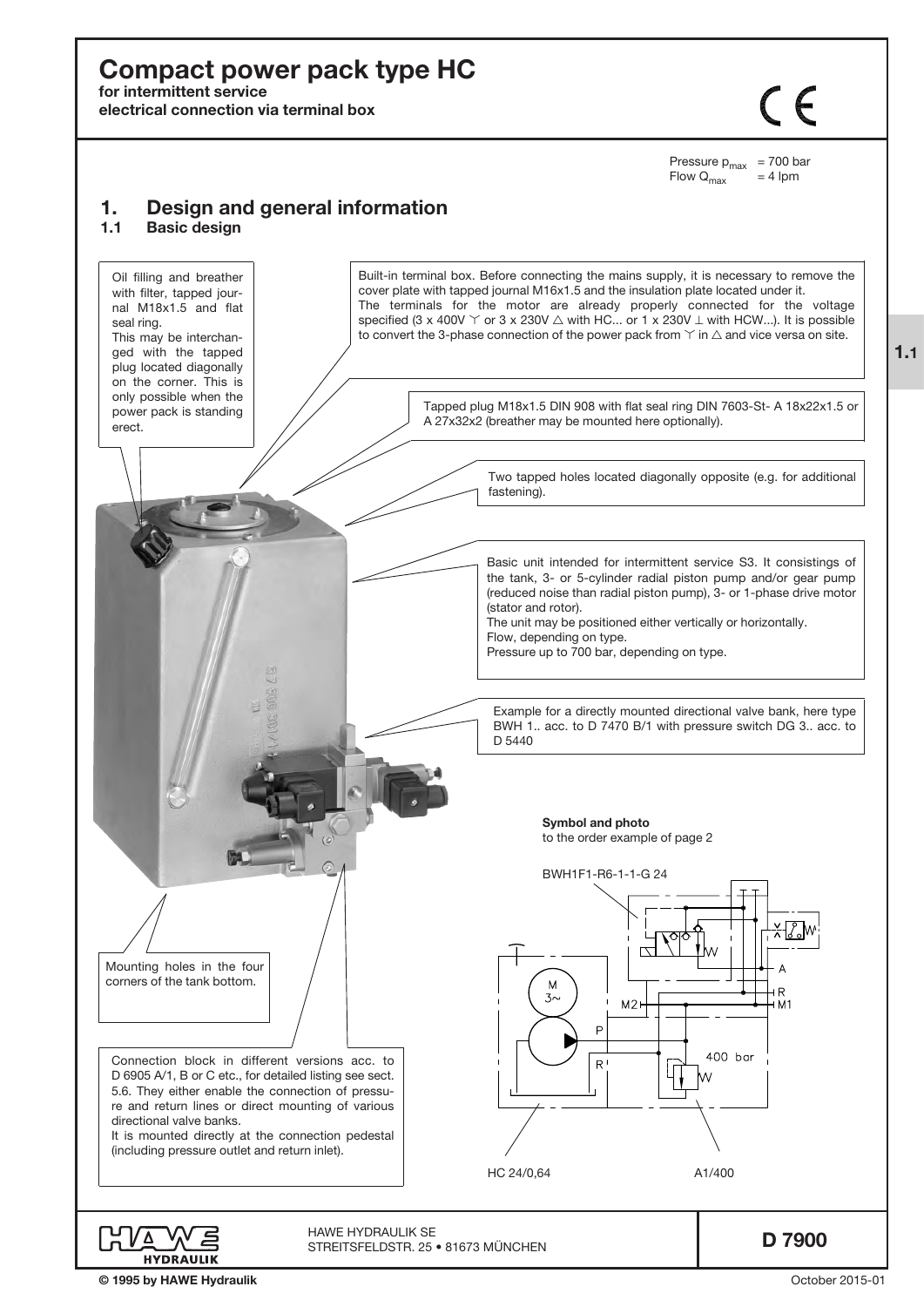# Compact power pack type HC

for intermittent service

electrical connection via terminal box

 $\zeta$ 

Pressure  $p_{max}$  = 700 bar<br>Flow  $Q_{max}$  = 4 lpm Flow  $Q_{\text{max}}$ 

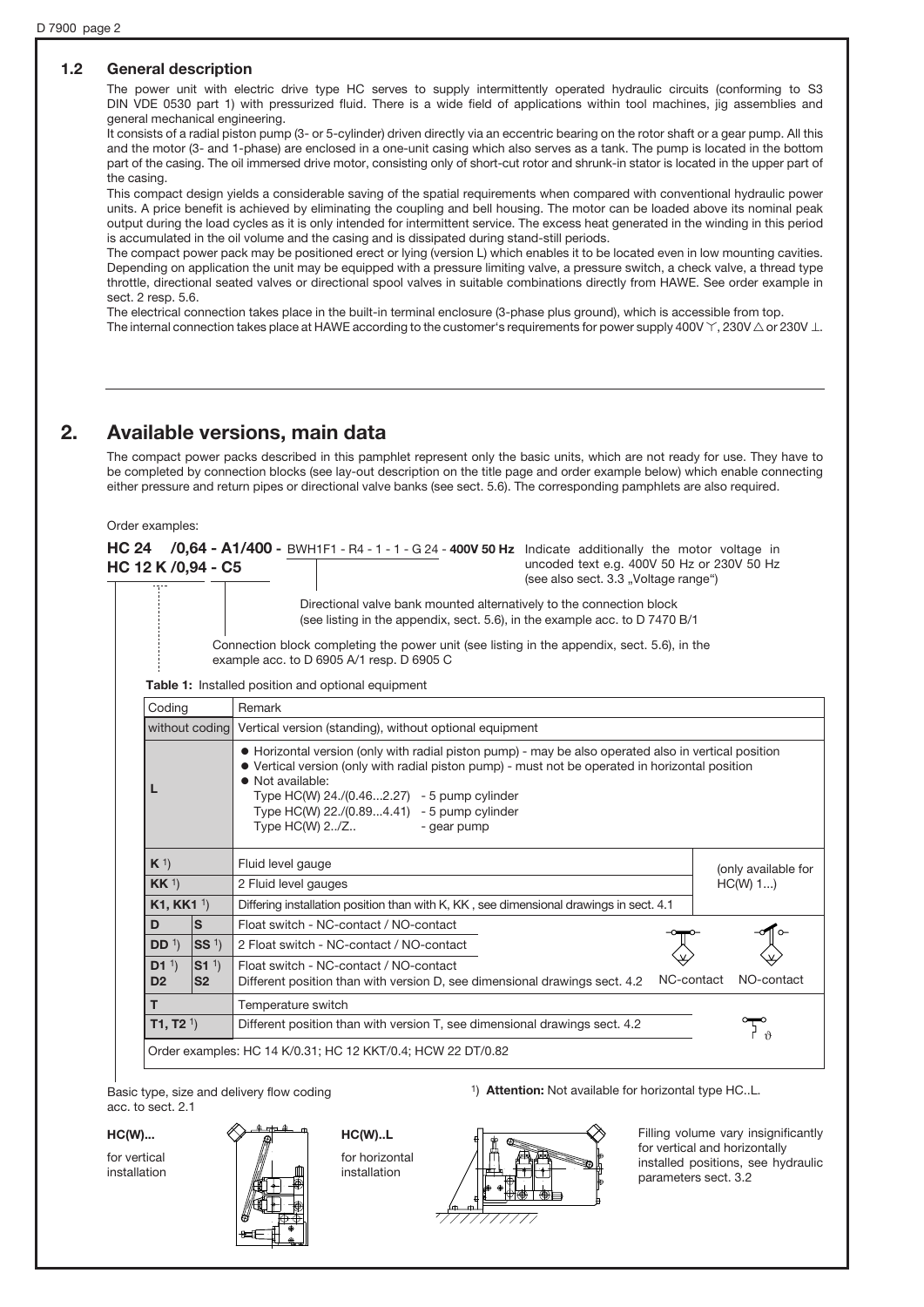## 1.2 General description

The power unit with electric drive type HC serves to supply intermittently operated hydraulic circuits (conforming to S3 DIN VDE 0530 part 1) with pressurized fluid. There is a wide field of applications within tool machines, jig assemblies and general mechanical engineering.

It consists of a radial piston pump (3- or 5-cylinder) driven directly via an eccentric bearing on the rotor shaft or a gear pump. All this and the motor (3- and 1-phase) are enclosed in a one-unit casing which also serves as a tank. The pump is located in the bottom part of the casing. The oil immersed drive motor, consisting only of short-cut rotor and shrunk-in stator is located in the upper part of the casing.

This compact design yields a considerable saving of the spatial requirements when compared with conventional hydraulic power units. A price benefit is achieved by eliminating the coupling and bell housing. The motor can be loaded above its nominal peak output during the load cycles as it is only intended for intermittent service. The excess heat generated in the winding in this period is accumulated in the oil volume and the casing and is dissipated during stand-still periods.

The compact power pack may be positioned erect or lying (version L) which enables it to be located even in low mounting cavities. Depending on application the unit may be equipped with a pressure limiting valve, a pressure switch, a check valve, a thread type throttle, directional seated valves or directional spool valves in suitable combinations directly from HAWE. See order example in sect. 2 resp. 5.6.

The electrical connection takes place in the built-in terminal enclosure (3-phase plus ground), which is accessible from top. The internal connection takes place at HAWE according to the customer's requirements for power supply 400V  $\Upsilon$ , 230V  $\triangle$  or 230V  $\perp$ .

## 2. Available versions, main data

The compact power packs described in this pamphlet represent only the basic units, which are not ready for use. They have to be completed by connection blocks (see lay-out description on the title page and order example below) which enable connecting either pressure and return pipes or directional valve banks (see sect. 5.6). The corresponding pamphlets are also required.

#### Order examples:

HC 24  $/0,64$  - A1/400 - BWH1F1 - R4 - 1 - 1 - G 24 - 400V 50 Hz Indicate additionally the motor voltage in HC 12 K /0,94 - C5 uncoded text e.g. 400V 50 Hz or 230V 50 Hz (see also sect. 3.3 "Voltage range") Directional valve bank mounted alternatively to the connection block

(see listing in the appendix, sect. 5.6), in the example acc. to D 7470 B/1

Connection block completing the power unit (see listing in the appendix, sect. 5.6), in the example acc. to D 6905 A/1 resp. D 6905 C

Table 1: Installed position and optional equipment

| Coding                                                                    |                                   | Remark                                                                                                                                                                                                  |                     |  |  |  |  |
|---------------------------------------------------------------------------|-----------------------------------|---------------------------------------------------------------------------------------------------------------------------------------------------------------------------------------------------------|---------------------|--|--|--|--|
| without coding<br>Vertical version (standing), without optional equipment |                                   |                                                                                                                                                                                                         |                     |  |  |  |  |
|                                                                           |                                   | • Horizontal version (only with radial piston pump) - may be also operated also in vertical position<br>• Vertical version (only with radial piston pump) - must not be operated in horizontal position |                     |  |  |  |  |
| $K^1$                                                                     |                                   | Fluid level gauge                                                                                                                                                                                       | (only available for |  |  |  |  |
| KK <sup>1</sup>                                                           |                                   | $HC(W)$ 1)<br>2 Fluid level gauges                                                                                                                                                                      |                     |  |  |  |  |
| <b>K1, KK1 1)</b>                                                         |                                   | Differing installation position than with K, KK, see dimensional drawings in sect. 4.1                                                                                                                  |                     |  |  |  |  |
| D                                                                         | $\sf s$                           | Float switch - NC-contact / NO-contact                                                                                                                                                                  |                     |  |  |  |  |
| DD <sup>1</sup>                                                           | SS <sup>1</sup>                   | 2 Float switch - NC-contact / NO-contact                                                                                                                                                                |                     |  |  |  |  |
| D1 <sup>1</sup><br>D <sub>2</sub>                                         | S1 <sup>1</sup><br>S <sub>2</sub> | Float switch - NC-contact / NO-contact<br>NC-contact<br>Different position than with version D, see dimensional drawings sect. 4.2                                                                      | NO-contact          |  |  |  |  |
| т                                                                         | Temperature switch                |                                                                                                                                                                                                         |                     |  |  |  |  |
| <b>T1, T2</b> $1$                                                         |                                   | Different position than with version T, see dimensional drawings sect. 4.2                                                                                                                              |                     |  |  |  |  |
|                                                                           |                                   | Order examples: HC 14 K/0.31; HC 12 KKT/0.4; HCW 22 DT/0.82                                                                                                                                             |                     |  |  |  |  |

Basic type, size and delivery flow coding acc. to sect. 2.1

HC(W)...

for vertical installation



HC(W)..L for horizontal installation



1) Attention: Not available for horizontal type HC..L.

Filling volume vary insignificantly for vertical and horizontally installed positions, see hydraulic parameters sect. 3.2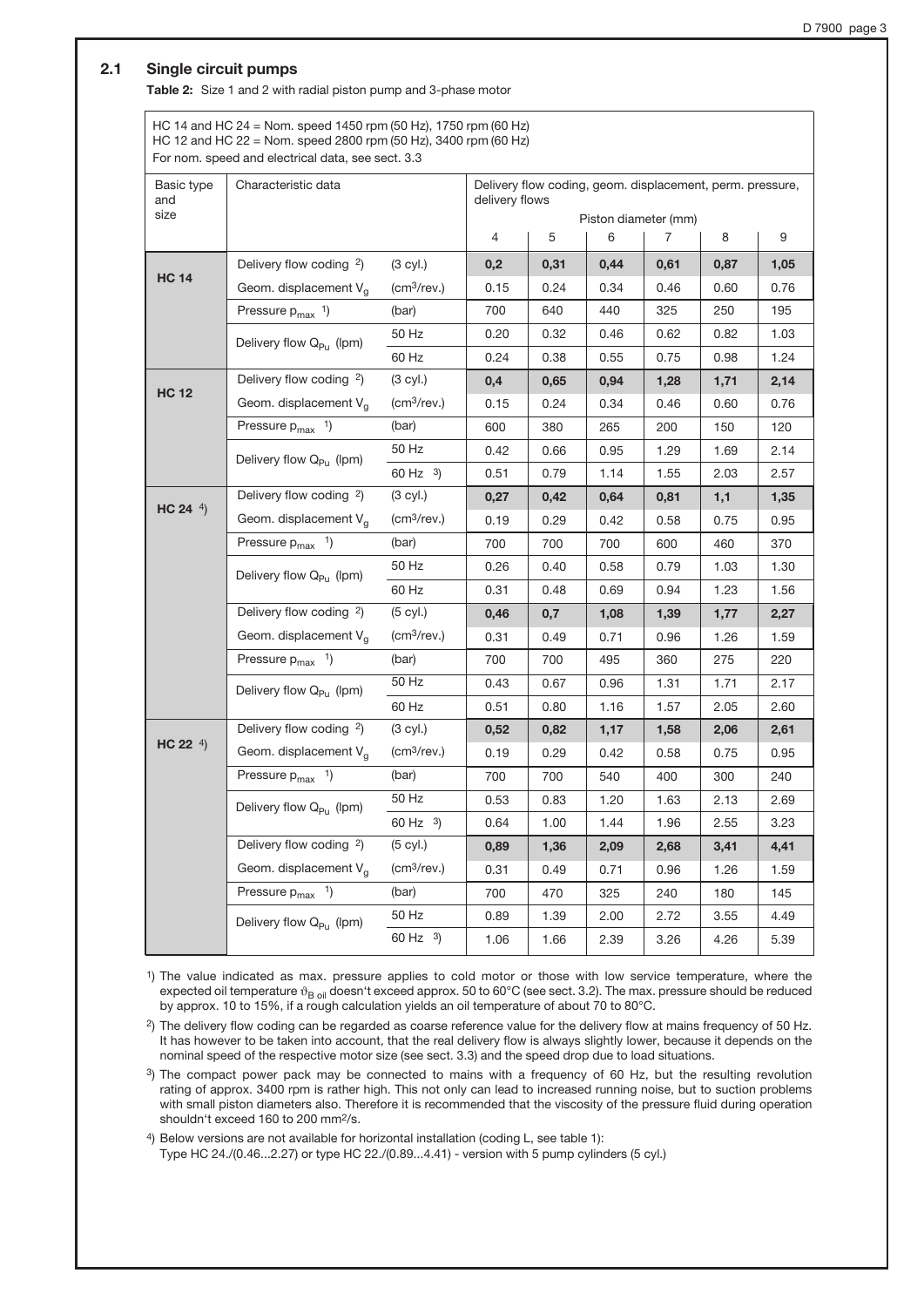## 2.1 Single circuit pumps

Table 2: Size 1 and 2 with radial piston pump and 3-phase motor

HC 14 and HC 24 = Nom. speed 1450 rpm (50 Hz), 1750 rpm (60 Hz) HC 12 and HC 22 = Nom. speed 2800 rpm (50 Hz), 3400 rpm (60 Hz) For nom. speed and electrical data, see sect. 3.3

| Basic type<br>and | Characteristic data                 |                                 | Delivery flow coding, geom. displacement, perm. pressure,<br>delivery flows |                      |      |      |      |      |
|-------------------|-------------------------------------|---------------------------------|-----------------------------------------------------------------------------|----------------------|------|------|------|------|
| size              |                                     |                                 |                                                                             | Piston diameter (mm) |      |      |      |      |
|                   |                                     |                                 | $\overline{4}$                                                              | 5                    | 6    | 7    | 8    | 9    |
| <b>HC 14</b>      | Delivery flow coding <sup>2</sup> ) | $(3$ cyl.)                      | 0,2                                                                         | 0,31                 | 0,44 | 0,61 | 0,87 | 1,05 |
|                   | Geom. displacement V <sub>q</sub>   | (cm <sup>3</sup> /rev.)         | 0.15                                                                        | 0.24                 | 0.34 | 0.46 | 0.60 | 0.76 |
|                   | Pressure $p_{max}$ <sup>1</sup> )   | (bar)                           | 700                                                                         | 640                  | 440  | 325  | 250  | 195  |
|                   | Delivery flow Q <sub>Pu</sub> (lpm) | 50 Hz                           | 0.20                                                                        | 0.32                 | 0.46 | 0.62 | 0.82 | 1.03 |
|                   |                                     | 60 Hz                           | 0.24                                                                        | 0.38                 | 0.55 | 0.75 | 0.98 | 1.24 |
|                   | Delivery flow coding <sup>2</sup> ) | $(3$ cyl.)                      | 0,4                                                                         | 0,65                 | 0,94 | 1,28 | 1,71 | 2,14 |
| <b>HC 12</b>      | Geom. displacement V <sub>a</sub>   | $\left(\frac{cm^3}{rev}\right)$ | 0.15                                                                        | 0.24                 | 0.34 | 0.46 | 0.60 | 0.76 |
|                   | Pressure $p_{max}$ <sup>1</sup> )   | (bar)                           | 600                                                                         | 380                  | 265  | 200  | 150  | 120  |
|                   | Delivery flow Q <sub>Pu</sub> (lpm) | 50 Hz                           | 0.42                                                                        | 0.66                 | 0.95 | 1.29 | 1.69 | 2.14 |
|                   |                                     | 60 Hz $3)$                      | 0.51                                                                        | 0.79                 | 1.14 | 1.55 | 2.03 | 2.57 |
|                   | Delivery flow coding 2)             | $(3$ cyl.)                      | 0,27                                                                        | 0,42                 | 0,64 | 0,81 | 1,1  | 1,35 |
| HC 24 $4$ )       | Geom. displacement V <sub>a</sub>   | $\left(\frac{cm^3}{rev}\right)$ | 0.19                                                                        | 0.29                 | 0.42 | 0.58 | 0.75 | 0.95 |
|                   | Pressure $p_{max}$ <sup>1</sup> )   | (bar)                           | 700                                                                         | 700                  | 700  | 600  | 460  | 370  |
|                   | Delivery flow Q <sub>Pu</sub> (lpm) | 50 Hz                           | 0.26                                                                        | 0.40                 | 0.58 | 0.79 | 1.03 | 1.30 |
|                   |                                     | 60 Hz                           | 0.31                                                                        | 0.48                 | 0.69 | 0.94 | 1.23 | 1.56 |
|                   | Delivery flow coding 2)             | $(5$ cyl.)                      | 0,46                                                                        | 0,7                  | 1,08 | 1,39 | 1,77 | 2,27 |
|                   | Geom. displacement V <sub>a</sub>   | $\left(\frac{cm^3}{rev}\right)$ | 0.31                                                                        | 0.49                 | 0.71 | 0.96 | 1.26 | 1.59 |
|                   | Pressure $p_{max}$ <sup>1</sup> )   | (bar)                           | 700                                                                         | 700                  | 495  | 360  | 275  | 220  |
|                   | Delivery flow Q <sub>Pu</sub> (lpm) | 50 Hz                           | 0.43                                                                        | 0.67                 | 0.96 | 1.31 | 1.71 | 2.17 |
|                   |                                     | 60 Hz                           | 0.51                                                                        | 0.80                 | 1.16 | 1.57 | 2.05 | 2.60 |
|                   | Delivery flow coding <sup>2</sup> ) | (3 cyl.)                        | 0,52                                                                        | 0,82                 | 1,17 | 1,58 | 2,06 | 2,61 |
| HC 22 $4)$        | Geom. displacement V <sub>a</sub>   | $\left(\frac{cm^3}{rev}\right)$ | 0.19                                                                        | 0.29                 | 0.42 | 0.58 | 0.75 | 0.95 |
|                   | Pressure $p_{max}$ <sup>1</sup> )   | (bar)                           | 700                                                                         | 700                  | 540  | 400  | 300  | 240  |
|                   | Delivery flow Q <sub>Pu</sub> (lpm) | 50 Hz                           | 0.53                                                                        | 0.83                 | 1.20 | 1.63 | 2.13 | 2.69 |
|                   |                                     | 60 Hz $3)$                      | 0.64                                                                        | 1.00                 | 1.44 | 1.96 | 2.55 | 3.23 |
|                   | Delivery flow coding <sup>2</sup> ) | $(5$ cyl.)                      | 0,89                                                                        | 1,36                 | 2,09 | 2,68 | 3,41 | 4,41 |
|                   | Geom. displacement V <sub>g</sub>   | $\left(\frac{cm^3}{rev}\right)$ | 0.31                                                                        | 0.49                 | 0.71 | 0.96 | 1.26 | 1.59 |
|                   | Pressure $p_{max}$ <sup>1</sup> )   | (bar)                           | 700                                                                         | 470                  | 325  | 240  | 180  | 145  |
|                   | Delivery flow Q <sub>Pu</sub> (lpm) | 50 Hz                           | 0.89                                                                        | 1.39                 | 2.00 | 2.72 | 3.55 | 4.49 |
|                   |                                     | 60 Hz $3$ )                     | 1.06                                                                        | 1.66                 | 2.39 | 3.26 | 4.26 | 5.39 |

1) The value indicated as max. pressure applies to cold motor or those with low service temperature, where the expected oil temperature  $\vartheta_{B \, \text{oil}}$  doesn't exceed approx. 50 to 60°C (see sect. 3.2). The max. pressure should be reduced by approx. 10 to 15%, if a rough calculation yields an oil temperature of about 70 to 80°C.

2) The delivery flow coding can be regarded as coarse reference value for the delivery flow at mains frequency of 50 Hz. It has however to be taken into account, that the real delivery flow is always slightly lower, because it depends on the nominal speed of the respective motor size (see sect. 3.3) and the speed drop due to load situations.

3) The compact power pack may be connected to mains with a frequency of 60 Hz, but the resulting revolution rating of approx. 3400 rpm is rather high. This not only can lead to increased running noise, but to suction problems with small piston diameters also. Therefore it is recommended that the viscosity of the pressure fluid during operation shouldn't exceed 160 to 200 mm<sup>2</sup>/s.

4) Below versions are not available for horizontal installation (coding L, see table 1):

Type HC 24./(0.46...2.27) or type HC 22./(0.89...4.41) - version with 5 pump cylinders (5 cyl.)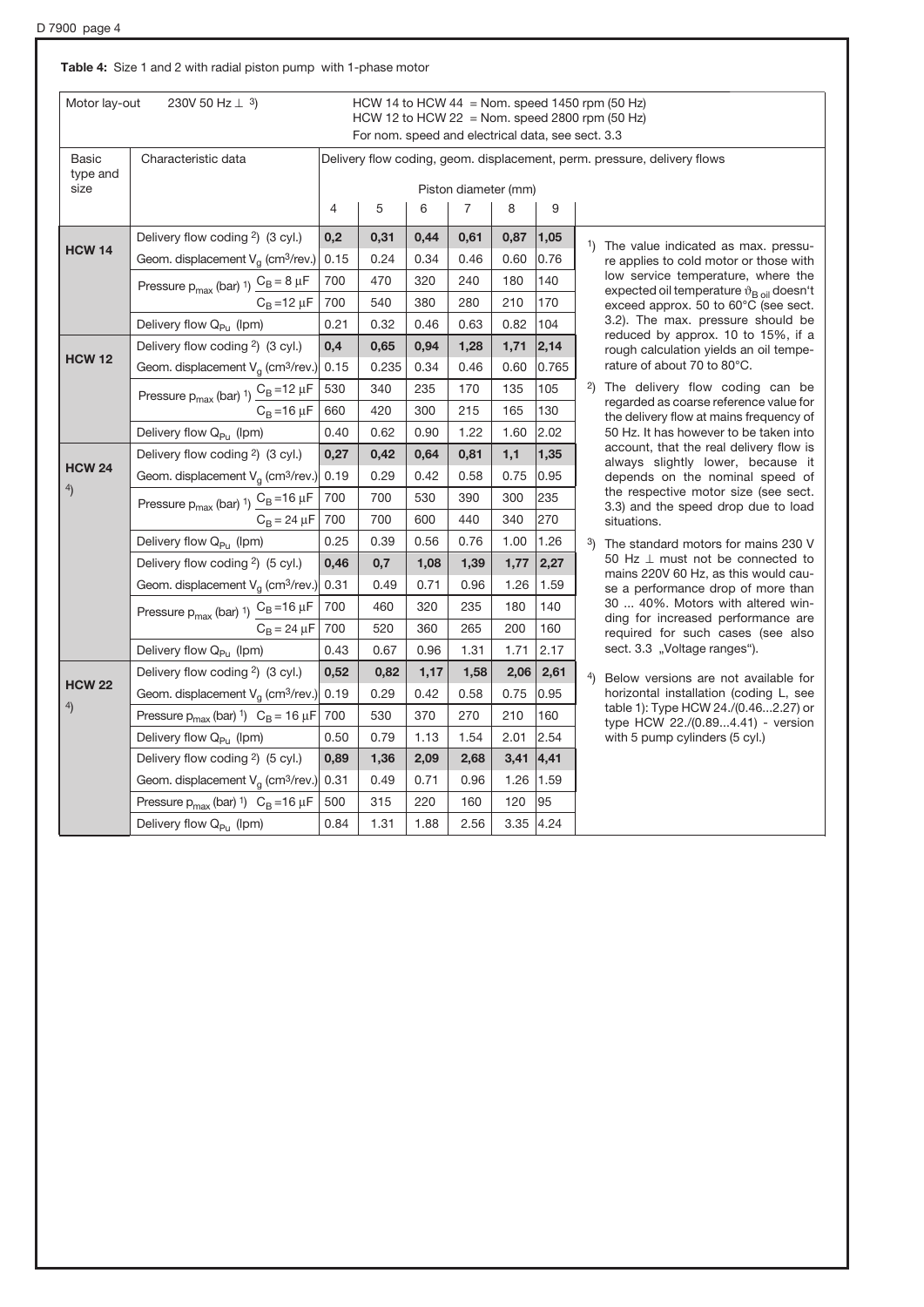## Table 4: Size 1 and 2 with radial piston pump with 1-phase motor

|                  | 230V 50 Hz $\perp$ 3)<br>Motor lay-out                              |                | HCW 14 to HCW 44 = Nom. speed 1450 rpm (50 Hz)<br>HCW 12 to HCW 22 = Nom. speed 2800 rpm $(50$ Hz) |      |                           |      |       |                                                                                          |  |  |
|------------------|---------------------------------------------------------------------|----------------|----------------------------------------------------------------------------------------------------|------|---------------------------|------|-------|------------------------------------------------------------------------------------------|--|--|
|                  |                                                                     |                | For nom. speed and electrical data, see sect. 3.3                                                  |      |                           |      |       |                                                                                          |  |  |
| Basic            | Characteristic data                                                 |                |                                                                                                    |      |                           |      |       | Delivery flow coding, geom. displacement, perm. pressure, delivery flows                 |  |  |
| type and<br>size |                                                                     |                |                                                                                                    |      |                           |      |       |                                                                                          |  |  |
|                  |                                                                     | $\overline{4}$ | 5                                                                                                  | 6    | Piston diameter (mm)<br>7 | 8    | 9     |                                                                                          |  |  |
|                  |                                                                     |                |                                                                                                    |      |                           |      |       |                                                                                          |  |  |
| <b>HCW 14</b>    | Delivery flow coding <sup>2</sup> ) (3 cyl.)                        | 0,2            | 0,31                                                                                               | 0,44 | 0,61                      | 0,87 | 1,05  | <sup>1</sup> ) The value indicated as max. pressu-                                       |  |  |
|                  | Geom. displacement $V_g$ (cm <sup>3</sup> /rev.)                    | 0.15           | 0.24                                                                                               | 0.34 | 0.46                      | 0.60 | 0.76  | re applies to cold motor or those with<br>low service temperature, where the             |  |  |
|                  | Pressure $p_{max}$ (bar) 1) $\frac{C_B = 8 \mu F}{\pi}$             | 700            | 470                                                                                                | 320  | 240                       | 180  | 140   | expected oil temperature $\vartheta_{\rm B, oil}$ doesn't                                |  |  |
|                  | $C_B = 12 \mu F$                                                    | 700            | 540                                                                                                | 380  | 280                       | 210  | 170   | exceed approx. 50 to 60°C (see sect.                                                     |  |  |
|                  | Delivery flow Q <sub>Pu</sub> (lpm)                                 | 0.21           | 0.32                                                                                               | 0.46 | 0.63                      | 0.82 | 104   | 3.2). The max. pressure should be<br>reduced by approx. 10 to 15%, if a                  |  |  |
| <b>HCW 12</b>    | Delivery flow coding <sup>2</sup> ) (3 cyl.)                        | 0,4            | 0,65                                                                                               | 0,94 | 1,28                      | 1,71 | 2,14  | rough calculation yields an oil tempe-                                                   |  |  |
|                  | Geom. displacement $V_q$ (cm <sup>3</sup> /rev.)                    | 0.15           | 0.235                                                                                              | 0.34 | 0.46                      | 0.60 | 0.765 | rature of about 70 to 80°C.                                                              |  |  |
|                  | Pressure $p_{max}$ (bar) 1) $\frac{C_B = 12 \mu F}{C_B = 16 \mu F}$ | 530            | 340                                                                                                | 235  | 170                       | 135  | 105   | <sup>2</sup> ) The delivery flow coding can be<br>regarded as coarse reference value for |  |  |
|                  |                                                                     | 660            | 420                                                                                                | 300  | 215                       | 165  | 130   | the delivery flow at mains frequency of                                                  |  |  |
|                  | Delivery flow Q <sub>Pu</sub> (lpm)                                 | 0.40           | 0.62                                                                                               | 0.90 | 1.22                      | 1.60 | 2.02  | 50 Hz. It has however to be taken into<br>account, that the real delivery flow is        |  |  |
| <b>HCW 24</b>    | Delivery flow coding <sup>2</sup> ) (3 cyl.)                        | 0,27           | 0,42                                                                                               | 0,64 | 0,81                      | 1,1  | 1,35  | always slightly lower, because it                                                        |  |  |
| $^{4)}$          | Geom. displacement $V_g$ (cm <sup>3</sup> /rev.) 0.19               |                | 0.29                                                                                               | 0.42 | 0.58                      | 0.75 | 0.95  | depends on the nominal speed of                                                          |  |  |
|                  | Pressure $p_{max}$ (bar) 1) $\frac{C_B = 16 \mu F}{\mu}$            | 700            | 700                                                                                                | 530  | 390                       | 300  | 235   | the respective motor size (see sect.<br>3.3) and the speed drop due to load              |  |  |
|                  | $C_B = 24 \mu F$                                                    | 700            | 700                                                                                                | 600  | 440                       | 340  | 270   | situations.                                                                              |  |  |
|                  | Delivery flow Q <sub>Pu</sub> (lpm)                                 | 0.25           | 0.39                                                                                               | 0.56 | 0.76                      | 1.00 | 1.26  | 3)<br>The standard motors for mains 230 V                                                |  |  |
|                  | Delivery flow coding <sup>2</sup> ) (5 cyl.)                        | 0,46           | 0,7                                                                                                | 1,08 | 1,39                      | 1,77 | 2,27  | 50 Hz $\perp$ must not be connected to<br>mains 220V 60 Hz, as this would cau-           |  |  |
|                  | Geom. displacement $V_g$ (cm <sup>3</sup> /rev.)                    | 0.31           | 0.49                                                                                               | 0.71 | 0.96                      | 1.26 | 1.59  | se a performance drop of more than                                                       |  |  |
|                  | Pressure $p_{max}$ (bar) 1) $\frac{C_B = 16 \mu F}{\mu}$            | 700            | 460                                                                                                | 320  | 235                       | 180  | 140   | 30  40%. Motors with altered win-<br>ding for increased performance are                  |  |  |
|                  | $C_B = 24 \mu F$                                                    | 700            | 520                                                                                                | 360  | 265                       | 200  | 160   | required for such cases (see also                                                        |  |  |
|                  | Delivery flow Q <sub>Pu</sub> (lpm)                                 | 0.43           | 0.67                                                                                               | 0.96 | 1.31                      | 1.71 | 2.17  | sect. 3.3 "Voltage ranges").                                                             |  |  |
| <b>HCW 22</b>    | Delivery flow coding <sup>2</sup> ) (3 cyl.)                        | 0,52           | 0,82                                                                                               | 1,17 | 1,58                      | 2,06 | 2,61  | 4)<br>Below versions are not available for                                               |  |  |
|                  | Geom. displacement $V_g$ (cm <sup>3</sup> /rev.)                    | 0.19           | 0.29                                                                                               | 0.42 | 0.58                      | 0.75 | 0.95  | horizontal installation (coding L, see                                                   |  |  |
| $^{4}$           | Pressure $p_{max}$ (bar) <sup>1</sup> ) $C_B = 16 \mu F$            | 700            | 530                                                                                                | 370  | 270                       | 210  | 160   | table 1): Type HCW 24./(0.462.27) or<br>type HCW 22./(0.894.41) - version                |  |  |
|                  | Delivery flow Q <sub>Pu</sub> (Ipm)                                 | 0.50           | 0.79                                                                                               | 1.13 | 1.54                      | 2.01 | 2.54  | with 5 pump cylinders (5 cyl.)                                                           |  |  |
|                  | Delivery flow coding <sup>2</sup> ) (5 cyl.)                        | 0,89           | 1,36                                                                                               | 2,09 | 2,68                      | 3,41 | 4, 41 |                                                                                          |  |  |
|                  | Geom. displacement $V_g$ (cm <sup>3</sup> /rev.) 0.31               |                | 0.49                                                                                               | 0.71 | 0.96                      | 1.26 | 1.59  |                                                                                          |  |  |
|                  | Pressure $p_{max}$ (bar) <sup>1</sup> ) $C_B = 16 \mu F$            | 500            | 315                                                                                                | 220  | 160                       | 120  | 95    |                                                                                          |  |  |
|                  | Delivery flow Q <sub>Pu</sub> (lpm)                                 | 0.84           | 1.31                                                                                               | 1.88 | 2.56                      | 3.35 | 4.24  |                                                                                          |  |  |
|                  |                                                                     |                |                                                                                                    |      |                           |      |       |                                                                                          |  |  |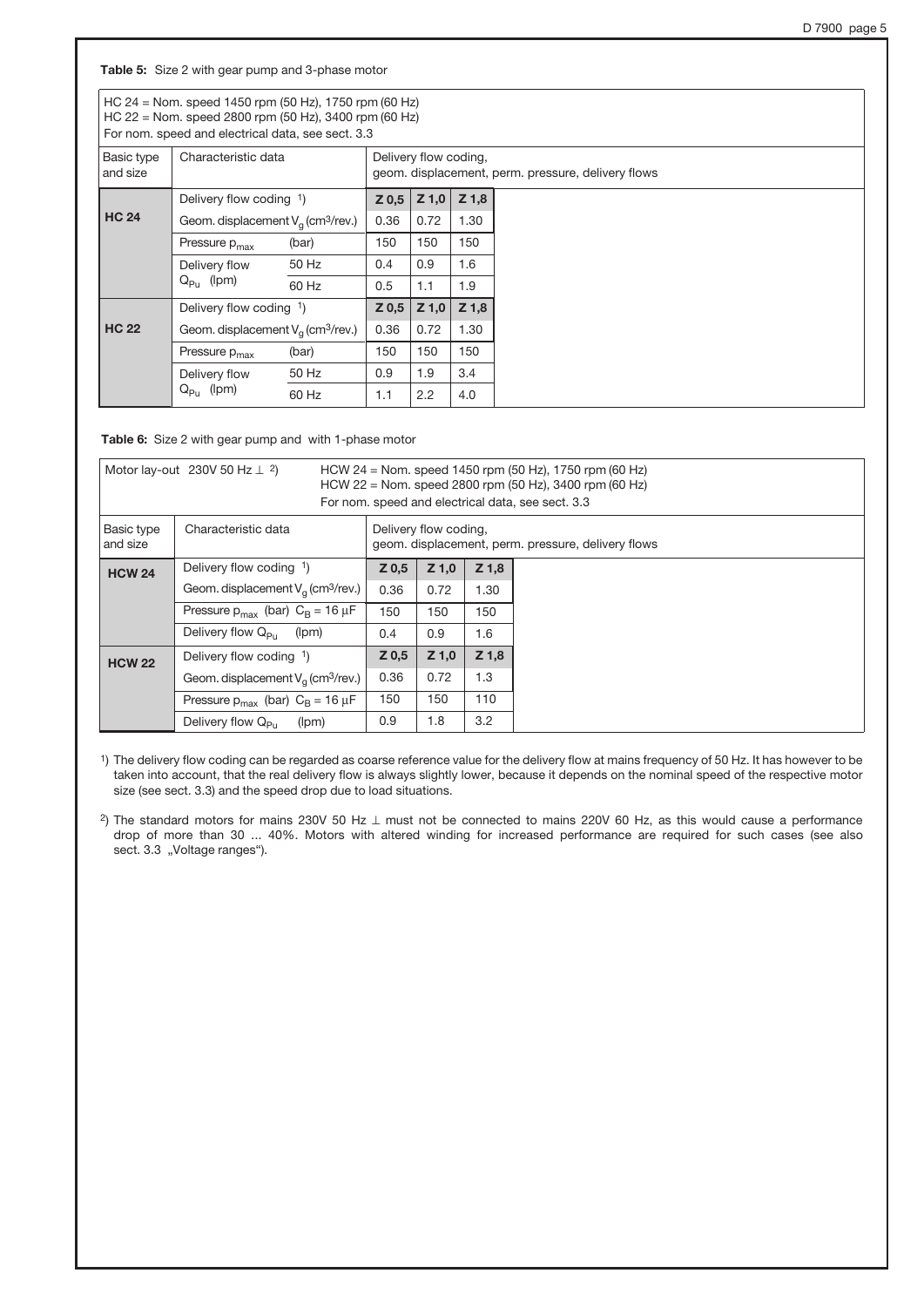Table 5: Size 2 with gear pump and 3-phase motor

HC 24 = Nom. speed 1450 rpm (50 Hz), 1750 rpm (60 Hz) HC 22 = Nom. speed 2800 rpm (50 Hz), 3400 rpm (60 Hz)  $\frac{1}{2}$  and electrical data, see sect. 3.3

| For nom. speed and electrical data, see sect. 5.5 |                                                  |       |                       |         |                                                    |  |
|---------------------------------------------------|--------------------------------------------------|-------|-----------------------|---------|----------------------------------------------------|--|
| Basic type<br>and size                            | Characteristic data                              |       | Delivery flow coding, |         | geom. displacement, perm. pressure, delivery flows |  |
|                                                   | Delivery flow coding 1)                          |       | $Z_{0,5}$             | $Z$ 1,0 | $Z$ 1,8                                            |  |
| <b>HC 24</b>                                      | Geom. displacement $V_a$ (cm <sup>3</sup> /rev.) | 0.36  | 0.72                  | 1.30    |                                                    |  |
|                                                   | Pressure p <sub>max</sub>                        | (bar) | 150                   | 150     | 150                                                |  |
|                                                   | Delivery flow                                    | 50 Hz | 0.4                   | 0.9     | 1.6                                                |  |
|                                                   | $Q_{Pu}$ (lpm)                                   | 60 Hz | 0.5                   | 1.1     | 1.9                                                |  |
|                                                   | Delivery flow coding $1$ )                       |       | $Z$ 0.5               | $Z$ 1,0 | $Z$ 1,8                                            |  |
| <b>HC 22</b>                                      | Geom. displacement $V_a$ (cm <sup>3</sup> /rev.) |       | 0.36                  | 0.72    | 1.30                                               |  |
|                                                   | Pressure p <sub>max</sub>                        | (bar) | 150                   | 150     | 150                                                |  |
|                                                   | Delivery flow                                    | 50 Hz | 0.9                   | 1.9     | 3.4                                                |  |
|                                                   | $Q_{P_U}$ (lpm)                                  | 60 Hz | 1.1                   | 2.2     | 4.0                                                |  |

Table 6: Size 2 with gear pump and with 1-phase motor

| Motor lay-out 230V 50 Hz $\perp$ 2) |                                                  | HCW 24 = Nom. speed 1450 rpm (50 Hz), 1750 rpm (60 Hz)<br>HCW 22 = Nom. speed 2800 rpm (50 Hz), 3400 rpm (60 Hz)<br>For nom. speed and electrical data, see sect. 3.3 |                       |         |                                                    |  |
|-------------------------------------|--------------------------------------------------|-----------------------------------------------------------------------------------------------------------------------------------------------------------------------|-----------------------|---------|----------------------------------------------------|--|
| Basic type<br>and size              | Characteristic data                              |                                                                                                                                                                       | Delivery flow coding, |         | geom. displacement, perm. pressure, delivery flows |  |
| <b>HCW 24</b>                       | Delivery flow coding 1)                          | $Z_{0,5}$                                                                                                                                                             | $Z$ 1,0               | $Z$ 1,8 |                                                    |  |
|                                     | Geom. displacement $V_a$ (cm <sup>3</sup> /rev.) | 0.36                                                                                                                                                                  | 0.72                  | 1.30    |                                                    |  |
|                                     | Pressure $p_{max}$ (bar) $C_B = 16 \mu F$        | 150                                                                                                                                                                   | 150                   | 150     |                                                    |  |
|                                     | Delivery flow $Q_{\rm{Di}}$<br>(lpm)             | 0.4                                                                                                                                                                   | 0.9                   | 1.6     |                                                    |  |
| <b>HCW 22</b>                       | Delivery flow coding 1)                          | Z <sub>0,5</sub>                                                                                                                                                      | $Z$ 1,0               | $Z$ 1,8 |                                                    |  |
|                                     | Geom. displacement $V_a$ (cm <sup>3</sup> /rev.) | 0.36                                                                                                                                                                  | 0.72                  | 1.3     |                                                    |  |
|                                     | Pressure $p_{max}$ (bar) $C_B = 16 \mu F$        | 150                                                                                                                                                                   | 150                   | 110     |                                                    |  |
|                                     | Delivery flow $Q_{\rm{Du}}$<br>(lpm)             | 0.9                                                                                                                                                                   | 1.8                   | 3.2     |                                                    |  |

1) The delivery flow coding can be regarded as coarse reference value for the delivery flow at mains frequency of 50 Hz. It has however to be taken into account, that the real delivery flow is always slightly lower, because it depends on the nominal speed of the respective motor size (see sect. 3.3) and the speed drop due to load situations.

<sup>2</sup>) The standard motors for mains 230V 50 Hz  $\perp$  must not be connected to mains 220V 60 Hz, as this would cause a performance drop of more than 30 ... 40%. Motors with altered winding for increased performance are required for such cases (see also sect. 3.3 "Voltage ranges").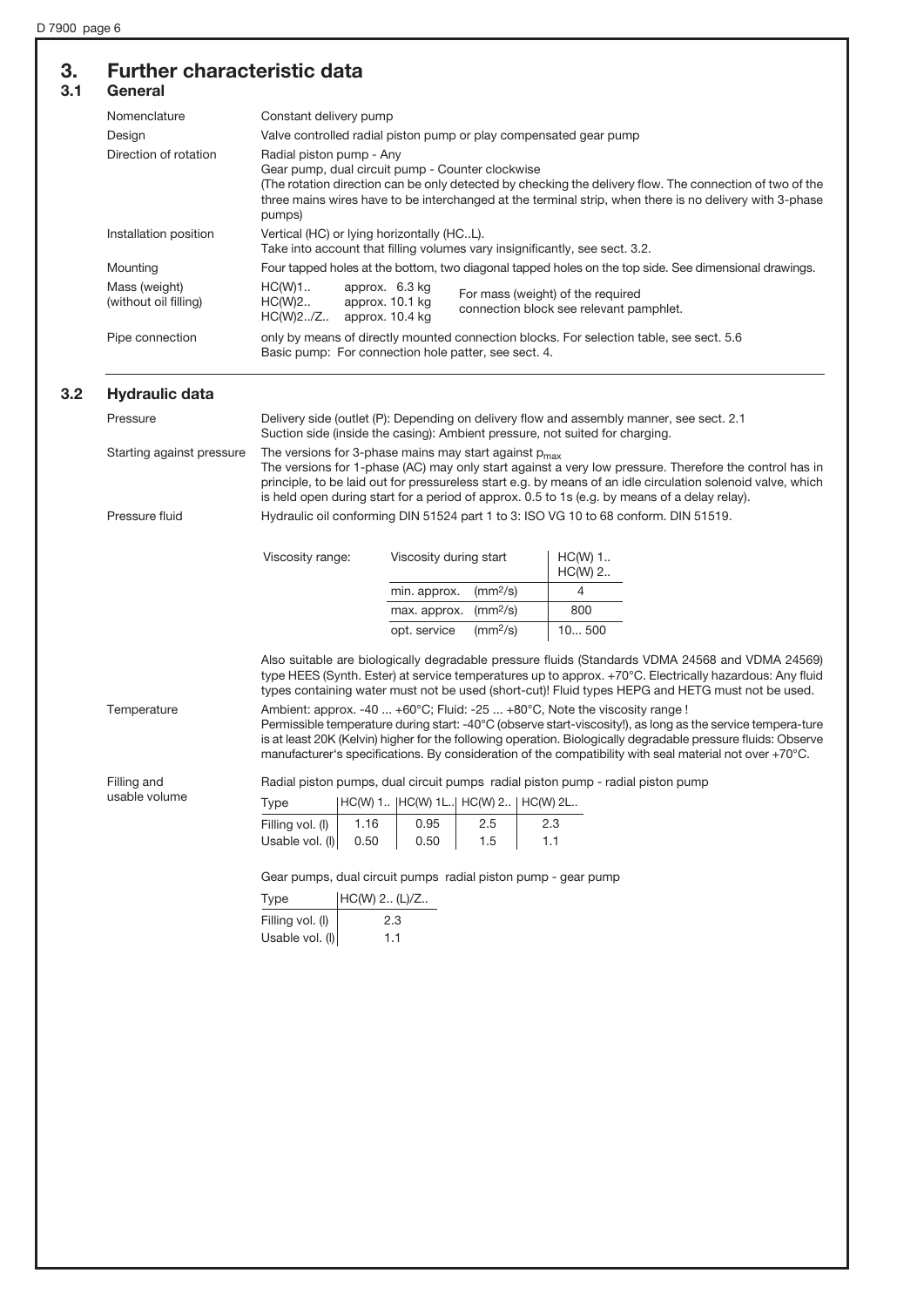## 3. Further characteristic data

| Nomenclature                           | Constant delivery pump                                                                                                                                                                                                                                                                                       |  |  |  |  |  |
|----------------------------------------|--------------------------------------------------------------------------------------------------------------------------------------------------------------------------------------------------------------------------------------------------------------------------------------------------------------|--|--|--|--|--|
| Design                                 | Valve controlled radial piston pump or play compensated gear pump                                                                                                                                                                                                                                            |  |  |  |  |  |
| Direction of rotation                  | Radial piston pump - Any<br>Gear pump, dual circuit pump - Counter clockwise<br>The rotation direction can be only detected by checking the delivery flow. The connection of two of the<br>three mains wires have to be interchanged at the terminal strip, when there is no delivery with 3-phase<br>pumps) |  |  |  |  |  |
| Installation position                  | Vertical (HC) or lying horizontally (HCL).<br>Take into account that filling volumes vary insignificantly, see sect. 3.2.                                                                                                                                                                                    |  |  |  |  |  |
| Mounting                               | Four tapped holes at the bottom, two diagonal tapped holes on the top side. See dimensional drawings.                                                                                                                                                                                                        |  |  |  |  |  |
| Mass (weight)<br>(without oil filling) | HC(W)1.<br>approx. 6.3 kg<br>For mass (weight) of the required<br>approx. 10.1 kg<br>HC(W)2<br>connection block see relevant pamphlet.<br>HC(W)2.7Z.<br>approx. 10.4 kg                                                                                                                                      |  |  |  |  |  |
| Pipe connection                        | only by means of directly mounted connection blocks. For selection table, see sect. 5.6<br>Basic pump: For connection hole patter, see sect. 4.                                                                                                                                                              |  |  |  |  |  |

#### 3.2 Hydraulic data

| Pressure                  | Delivery side (outlet (P): Depending on delivery flow and assembly manner, see sect. 2.1<br>Suction side (inside the casing): Ambient pressure, not suited for charging.                                                                                                                                                                                                             |                                                                                     |                        |  |  |
|---------------------------|--------------------------------------------------------------------------------------------------------------------------------------------------------------------------------------------------------------------------------------------------------------------------------------------------------------------------------------------------------------------------------------|-------------------------------------------------------------------------------------|------------------------|--|--|
| Starting against pressure | The versions for 3-phase mains may start against $p_{max}$<br>The versions for 1-phase (AC) may only start against a very low pressure. Therefore the control has in<br>principle, to be laid out for pressureless start e.g. by means of an idle circulation solenoid valve, which<br>is held open during start for a period of approx. 0.5 to 1s (e.g. by means of a delay relay). |                                                                                     |                        |  |  |
| Pressure fluid            |                                                                                                                                                                                                                                                                                                                                                                                      | Hydraulic oil conforming DIN 51524 part 1 to 3: ISO VG 10 to 68 conform. DIN 51519. |                        |  |  |
|                           | Viscosity range:                                                                                                                                                                                                                                                                                                                                                                     | Viscosity during start                                                              | $HC(W)$ 1<br>$HC(W)$ 2 |  |  |
|                           |                                                                                                                                                                                                                                                                                                                                                                                      | $\text{m}^2/\text{s}$<br>min. approx.                                               |                        |  |  |

|                                   | $HC(W)$ 2 |
|-----------------------------------|-----------|
| min. approx. $(mm^2/s)$           |           |
| max. approx. $(mm^2/s)$           | 800       |
| opt. service (mm <sup>2</sup> /s) | 10500     |

Also suitable are biologically degradable pressure fluids (Standards VDMA 24568 and VDMA 24569) type HEES (Synth. Ester) at service temperatures up to approx. +70°C. Electrically hazardous: Any fluid types containing water must not be used (short-cut)! Fluid types HEPG and HETG must not be used.

Filling and usable volume

Temperature Ambient: approx. -40 ... +60°C; Fluid: -25 ... +80°C, Note the viscosity range ! Permissible temperature during start: -40°C (observe start-viscosity!), as long as the service tempera-ture is at least 20K (Kelvin) higher for the following operation. Biologically degradable pressure fluids: Observe manufacturer's specifications. By consideration of the compatibility with seal material not over +70°C.

Radial piston pumps, dual circuit pumps radial piston pump - radial piston pump

| Type             |      | HC(W) 1   HC(W) 1L  HC(W) 2   HC(W) 2L |     |     |
|------------------|------|----------------------------------------|-----|-----|
| Filling vol. (I) | 1.16 | 0.95                                   | 2.5 | 2.3 |
| Usable vol. (I)  | 0.50 | 0.50                                   | 1.5 | 1.1 |

Gear pumps, dual circuit pumps radial piston pump - gear pump

| Type             | HC(W) 2 (L)/Z |
|------------------|---------------|
| Filling vol. (I) | 2.3           |
| Usable vol. (I)  | 11            |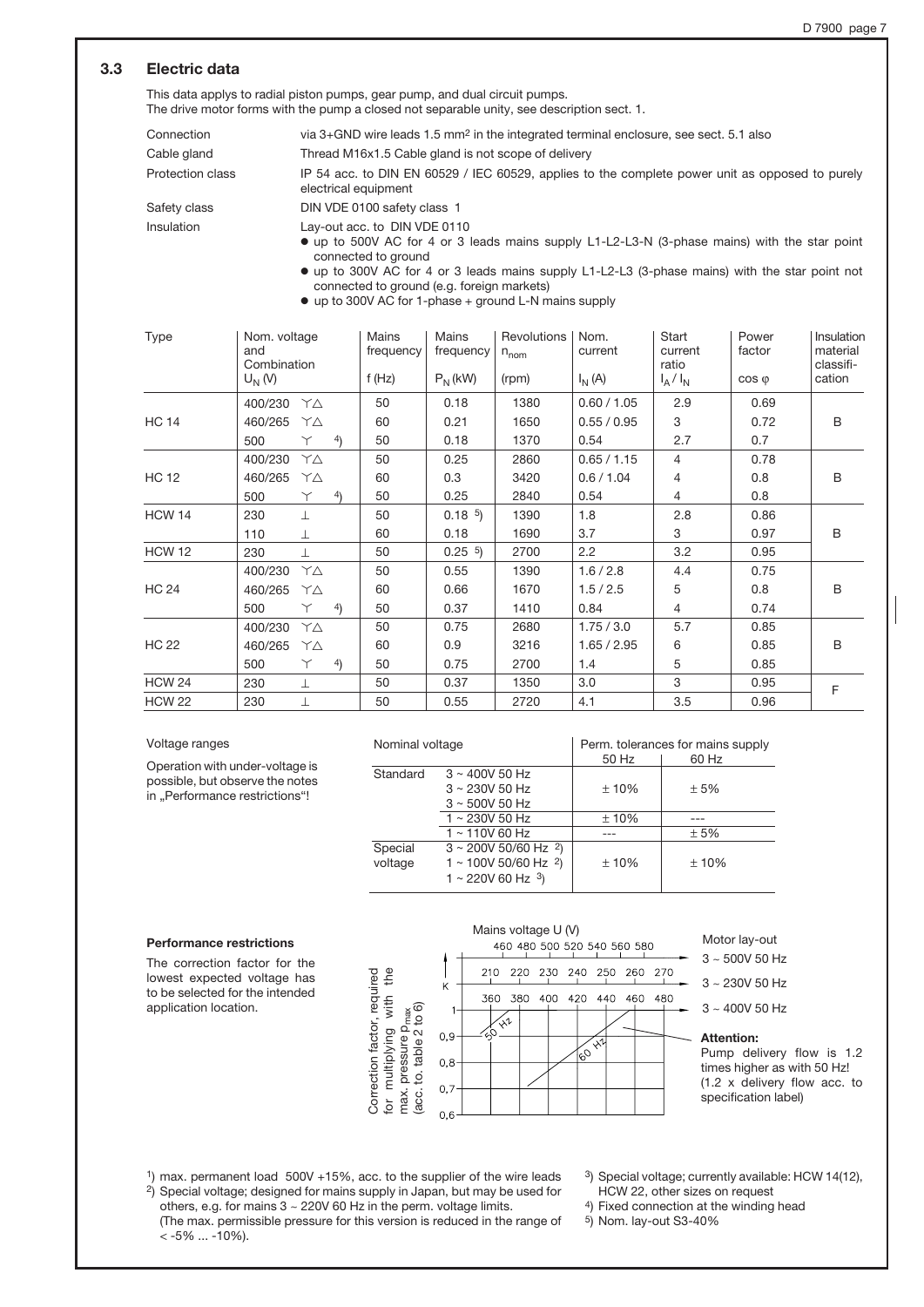## 3.3 Electric data

This data applys to radial piston pumps, gear pump, and dual circuit pumps. The drive motor forms with the pump a closed not separable unity, see description sect. 1.

| Connection        | via $3+$ GND wire leads $1.5$ mm <sup>2</sup> in the integrated terminal enclosure, see sect. 5.1 also                                              |
|-------------------|-----------------------------------------------------------------------------------------------------------------------------------------------------|
|                   |                                                                                                                                                     |
| Cable gland       | Thread M16x1.5 Cable gland is not scope of delivery                                                                                                 |
| Protection class  | IP 54 acc. to DIN EN 60529 / IEC 60529, applies to the complete power unit as opposed to purely<br>electrical equipment                             |
| Safety class      | DIN VDE 0100 safety class 1                                                                                                                         |
| <b>Insulation</b> | Lay-out acc. to DIN VDE 0110<br>• up to 500V AC for 4 or 3 leads mains supply L1-L2-L3-N (3-phase mains) with the star point<br>connected to ground |

o up to 300V AC for 4 or 3 leads mains supply L1-L2-L3 (3-phase mains) with the star point not connected to ground (e.g. foreign markets)

o up to 300V AC for 1-phase + ground L-N mains supply

| Type          | Nom. voltage<br>and<br>Combination<br>$U_N(V)$ | Mains<br>frequency<br>f $(Hz)$ | Mains<br>frequency<br>$P_N(kW)$ | Revolutions<br>$n_{\text{nom}}$<br>(rpm) | Nom.<br>current<br>$I_N(A)$ | Start<br>current<br>ratio<br>$I_A/I_N$ | Power<br>factor<br>$\cos \varphi$ | Insulation<br>material<br>classifi-<br>cation |
|---------------|------------------------------------------------|--------------------------------|---------------------------------|------------------------------------------|-----------------------------|----------------------------------------|-----------------------------------|-----------------------------------------------|
|               |                                                |                                |                                 |                                          |                             |                                        |                                   |                                               |
|               | 400/230<br>YΔ                                  | 50                             | 0.18                            | 1380                                     | 0.60 / 1.05                 | 2.9                                    | 0.69                              |                                               |
| <b>HC 14</b>  | 460/265<br>YΛ                                  | 60                             | 0.21                            | 1650                                     | 0.55 / 0.95                 | 3                                      | 0.72                              | B                                             |
|               | 4)<br>500<br>Υ                                 | 50                             | 0.18                            | 1370                                     | 0.54                        | 2.7                                    | 0.7                               |                                               |
|               | 400/230<br>YΔ                                  | 50                             | 0.25                            | 2860                                     | 0.65 / 1.15                 | $\overline{4}$                         | 0.78                              |                                               |
| <b>HC 12</b>  | 460/265<br>YΛ                                  | 60                             | 0.3                             | 3420                                     | 0.6 / 1.04                  | $\overline{4}$                         | 0.8                               | B                                             |
|               | 500<br>4)<br>Υ                                 | 50                             | 0.25                            | 2840                                     | 0.54                        | $\overline{4}$                         | 0.8                               |                                               |
| <b>HCW 14</b> | 230<br>$\bot$                                  | 50                             | 0.18 <sup>5</sup>               | 1390                                     | 1.8                         | 2.8                                    | 0.86                              |                                               |
|               | 110<br>$\perp$                                 | 60                             | 0.18                            | 1690                                     | 3.7                         | 3                                      | 0.97                              | B                                             |
| <b>HCW 12</b> | 230<br>T                                       | 50                             | 0.25 <sup>5</sup>               | 2700                                     | 2.2                         | 3.2                                    | 0.95                              |                                               |
|               | 400/230<br>YΔ                                  | 50                             | 0.55                            | 1390                                     | 1.6 / 2.8                   | 4.4                                    | 0.75                              |                                               |
| <b>HC 24</b>  | 460/265<br>YΔ                                  | 60                             | 0.66                            | 1670                                     | 1.5 / 2.5                   | 5                                      | 0.8                               | B                                             |
|               | 4)<br>500<br>Υ                                 | 50                             | 0.37                            | 1410                                     | 0.84                        | $\overline{4}$                         | 0.74                              |                                               |
|               | 400/230<br>YΔ                                  | 50                             | 0.75                            | 2680                                     | 1.75/3.0                    | 5.7                                    | 0.85                              |                                               |
| <b>HC 22</b>  | 460/265<br>YΔ                                  | 60                             | 0.9                             | 3216                                     | 1.65 / 2.95                 | 6                                      | 0.85                              | B                                             |
|               | 4)<br>500<br>Υ                                 | 50                             | 0.75                            | 2700                                     | 1.4                         | 5                                      | 0.85                              |                                               |
| <b>HCW 24</b> | 230<br>$\perp$                                 | 50                             | 0.37                            | 1350                                     | 3.0                         | 3                                      | 0.95                              | F                                             |
| <b>HCW 22</b> | 230<br>⊥                                       | 50                             | 0.55                            | 2720                                     | 4.1                         | 3.5                                    | 0.96                              |                                               |

#### Voltage ranges

Operation with under-voltage is possible, but observe the notes in "Performance restrictions"!

| Nominal voltage |                                       | Perm. tolerances for mains supply |       |  |  |  |
|-----------------|---------------------------------------|-----------------------------------|-------|--|--|--|
|                 |                                       | 50 Hz                             | 60 Hz |  |  |  |
| Standard        | $3 \sim 400V$ 50 Hz                   |                                   |       |  |  |  |
|                 | $3 \sim 230V$ 50 Hz                   | ±10%                              | ±5%   |  |  |  |
|                 | $3 \sim 500V 50 Hz$                   |                                   |       |  |  |  |
|                 | 1~230V 50 Hz                          | ±10%                              |       |  |  |  |
|                 | $1 \sim 110V$ 60 Hz                   |                                   | ±5%   |  |  |  |
| Special         | $3 \sim 200V$ 50/60 Hz $^{2}$ )       |                                   |       |  |  |  |
| voltage         | $1 \sim 100V$ 50/60 Hz <sup>2</sup> ) | ±10%                              | ±10%  |  |  |  |
|                 | $1 \sim 220V$ 60 Hz $3$ )             |                                   |       |  |  |  |

#### Performance restrictions

The correction factor for the lowest expected voltage has to be selected for the intended application location.



Motor lay-out

3 ~ 500V 50 Hz

- 3 ~ 230V 50 Hz
- 3 ~ 400V 50 Hz

Attention:

Pump delivery flow is 1.2 times higher as with 50 Hz! (1.2 x delivery flow acc. to specification label)

1) max. permanent load 500V +15%, acc. to the supplier of the wire leads 2) Special voltage; designed for mains supply in Japan, but may be used for others, e.g. for mains 3 ~ 220V 60 Hz in the perm. voltage limits.

(The max. permissible pressure for this version is reduced in the range of  $< -5\%$  ...  $-10\%$ ).

- 3) Special voltage; currently available: HCW 14(12), HCW 22, other sizes on request
- 4) Fixed connection at the winding head
- 5) Nom. lay-out S3-40%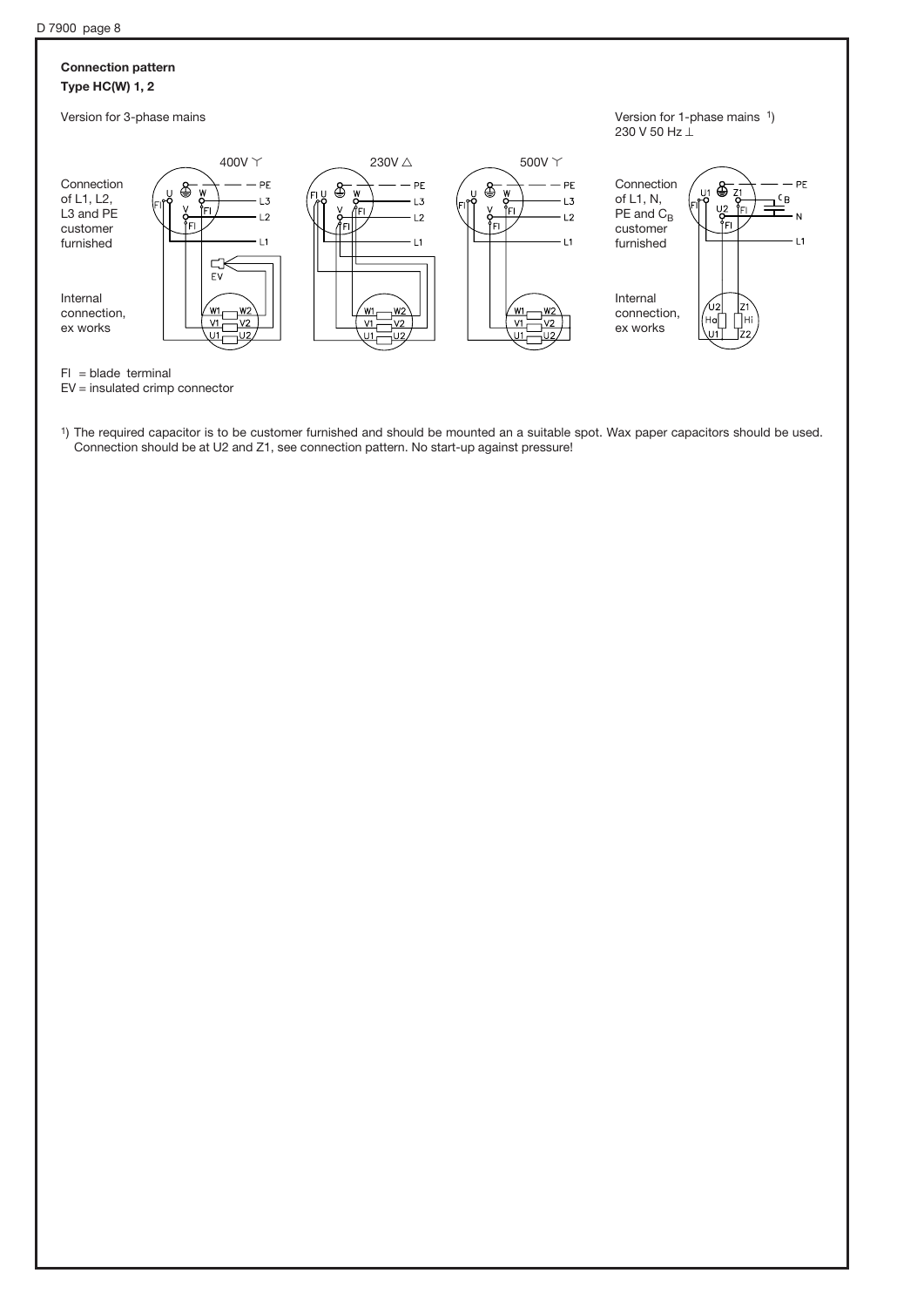## Connection pattern Type HC(W) 1, 2



Version for 1-phase mains 1) 230 V 50 Hz  $\perp$ 



 $FI = blade terminal$ 

EV = insulated crimp connector

1) The required capacitor is to be customer furnished and should be mounted an a suitable spot. Wax paper capacitors should be used. Connection should be at U2 and Z1, see connection pattern. No start-up against pressure!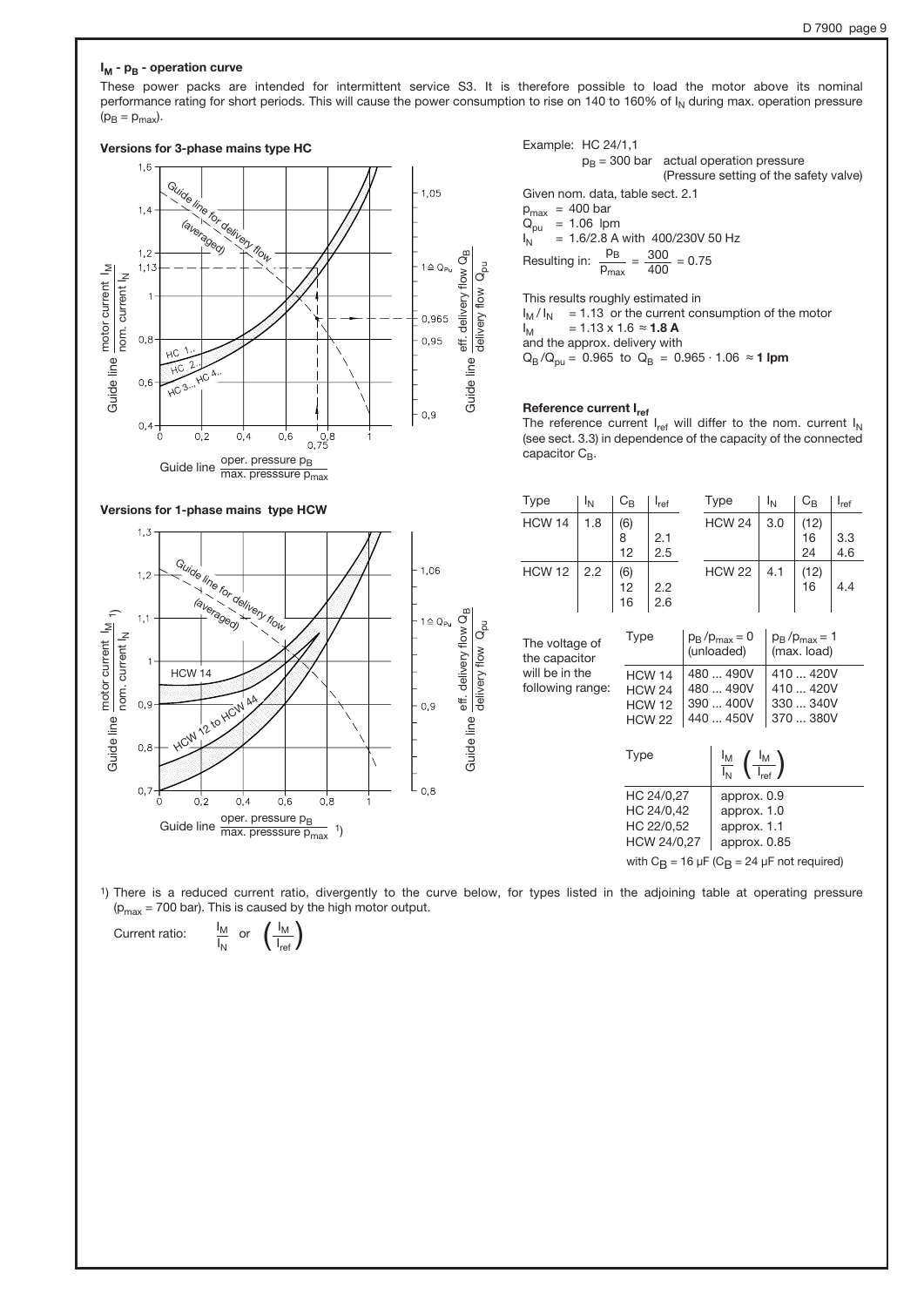#### $I_M$  -  $p_B$  - operation curve

These power packs are intended for intermittent service S3. It is therefore possible to load the motor above its nominal performance rating for short periods. This will cause the power consumption to rise on 140 to 160% of  $I_N$  during max. operation pressure  $(p_B = p_{max})$ .



Example: HC 24/1,1  $p_B = 300$  bar actual operation pressure (Pressure setting of the safety valve) Given nom. data, table sect. 2.1  $p_{max}$  = 400 bar  $Q_{pu}$  = 1.06 lpm<br> $I_N$  = 1.6/2.8 A  $= 1.6/2.8$  A with 400/230V 50 Hz Resulting in:  $p_B$  $p_{\text{max}}$  $=\frac{300}{400} = 0.75$ 

This results roughly estimated in  $I_M / I_N$  = 1.13 or the current consumption of the motor<br> $I_M$  = 1.13 x 1.6  $\approx$  **1.8 A**  $= 1.13 \times 1.6 \approx 1.8 \text{ A}$ and the approx. delivery with  $Q_B/Q_{pu} = 0.965$  to  $Q_B = 0.965 \cdot 1.06 \approx 1$  lpm

#### Reference current I<sub>ref</sub>

The reference current  $I_{ref}$  will differ to the nom. current  $I_N$  (see sect. 3.3) in dependence of the capacity of the connected capacitor  $C_B$ .



 $\left(\frac{I_{\mathsf{M}}}{I_{\mathsf{ref}}}\right)$ 

| Type                               | I <sub>N</sub> | $C_B$           | $I_{ref}$                                                                 |                                     | Type                                                                       |                                    | $\mathrm{C_{B}}$                                 | $I_{ref}$  |  |
|------------------------------------|----------------|-----------------|---------------------------------------------------------------------------|-------------------------------------|----------------------------------------------------------------------------|------------------------------------|--------------------------------------------------|------------|--|
| <b>HCW 14</b>                      | 1.8            | (6)<br>8<br>12  | 2.1<br>2.5                                                                |                                     | <b>HCW 24</b>                                                              | 3.0                                | (12)<br>16<br>24                                 | 3.3<br>4.6 |  |
| <b>HCW 12</b>                      | 2.2            | (6)<br>12<br>16 | 2.2<br>2.6                                                                | <b>HCW 22</b>                       |                                                                            | 4.1                                | (12)<br>16                                       | 4.4        |  |
| The voltage of<br>the capacitor    |                | Type            |                                                                           | $p_B$ / $p_{max}$ = 0<br>(unloaded) |                                                                            | $p_B / p_{max} = 1$<br>(max. load) |                                                  |            |  |
| will be in the<br>following range: |                | <b>Type</b>     | <b>HCW 14</b><br><b>HCW 24</b><br><b>HCW 12</b><br><b>HCW 22</b>          |                                     | 480  490V<br>480  490V<br>390  400V<br>440  450V                           |                                    | 410  420V<br>410  420V<br>330  340V<br>370  380V |            |  |
|                                    |                |                 |                                                                           |                                     | $\frac{I_{\rm M}}{I_{\rm N}}$ $\left(\frac{I_{\rm M}}{I_{\rm ref}}\right)$ |                                    |                                                  |            |  |
|                                    |                |                 | HC 24/0,27<br>HC 24/0,42<br>HC 22/0,52<br>HCW 24/0,27                     |                                     | approx. 0.9<br>approx. 1.0<br>approx. 1.1<br>approx. 0.85                  |                                    |                                                  |            |  |
|                                    |                |                 | with $C_{\mathbf{B}} = 16 \mu F (C_{\mathbf{B}} = 24 \mu F$ not required) |                                     |                                                                            |                                    |                                                  |            |  |

1) There is a reduced current ratio, divergently to the curve below, for types listed in the adjoining table at operating pressure  $(p_{max} = 700$  bar). This is caused by the high motor output.

Current ratio:  $I_M$  $I_N$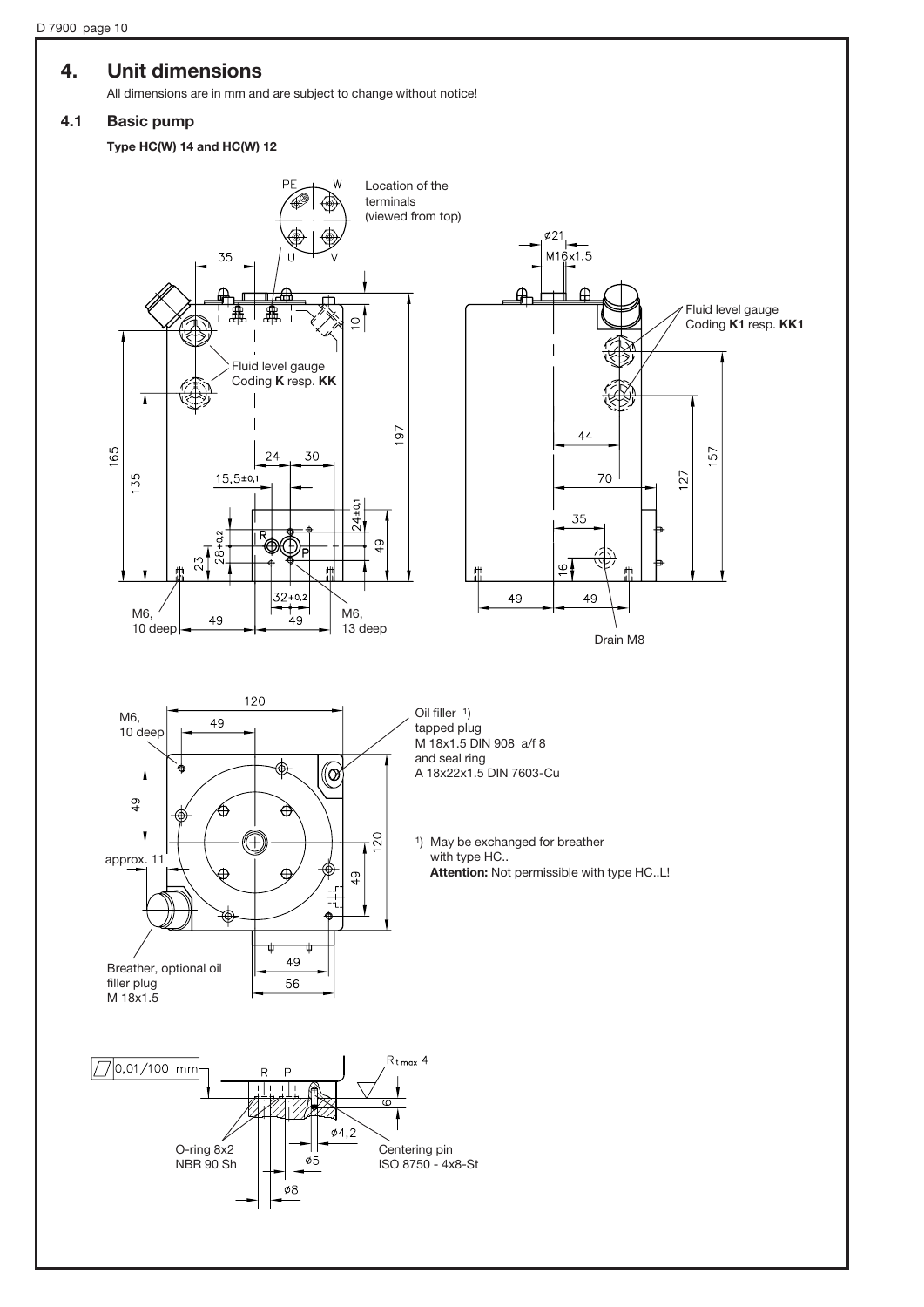## 4. Unit dimensions

All dimensions are in mm and are subject to change without notice!

#### 4.1 Basic pump

Type HC(W) 14 and HC(W) 12

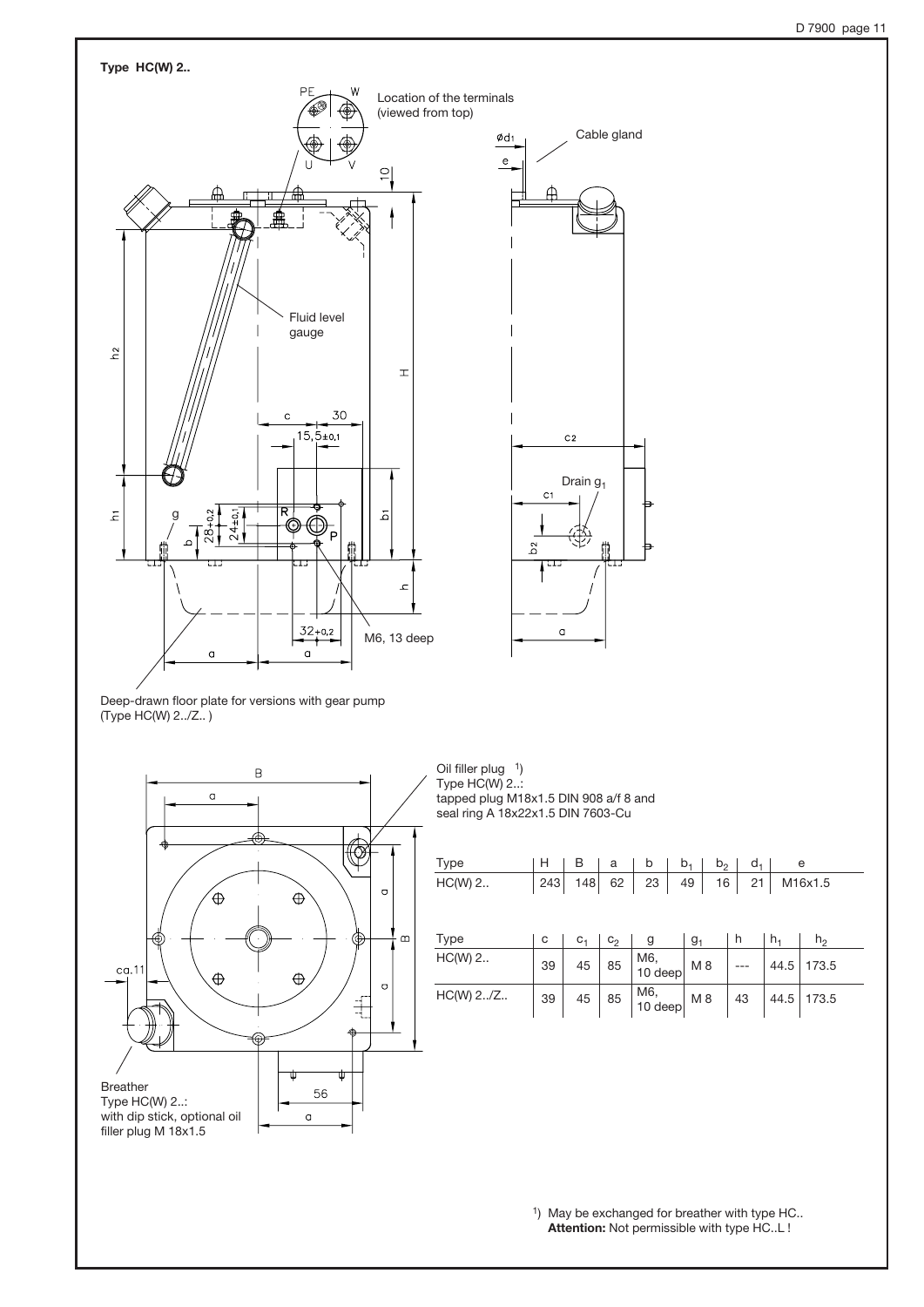





Oil filler plug 1) Type HC(W) 2..: tapped plug M18x1.5 DIN 908 a/f 8 and seal ring A 18x22x1.5 DIN 7603-Cu

| Type      | н   | в       | a     | b                     | $b_1$          | $b_2$ | d, |       | e              |
|-----------|-----|---------|-------|-----------------------|----------------|-------|----|-------|----------------|
| $HC(W)$ 2 | 243 | 148     | 62    | 23                    | 49<br>16       |       | 21 |       | M16x1.5        |
| Type      | с   | $C_{1}$ | $C_2$ | g                     | g <sub>1</sub> |       | h  | $h_1$ | h <sub>2</sub> |
| HC(W) 2   | 39  | 45      | 85    | M6,<br>10 deep        | M <sub>8</sub> |       |    | 44.5  | 173.5          |
| HC(W) 2/Z | 39  | $45\,$  | 85    | $M6, 10 \text{ deep}$ | M8             |       | 43 | 44.5  | 173.5          |
|           |     |         |       |                       |                |       |    |       |                |

1) May be exchanged for breather with type HC.. Attention: Not permissible with type HC..L !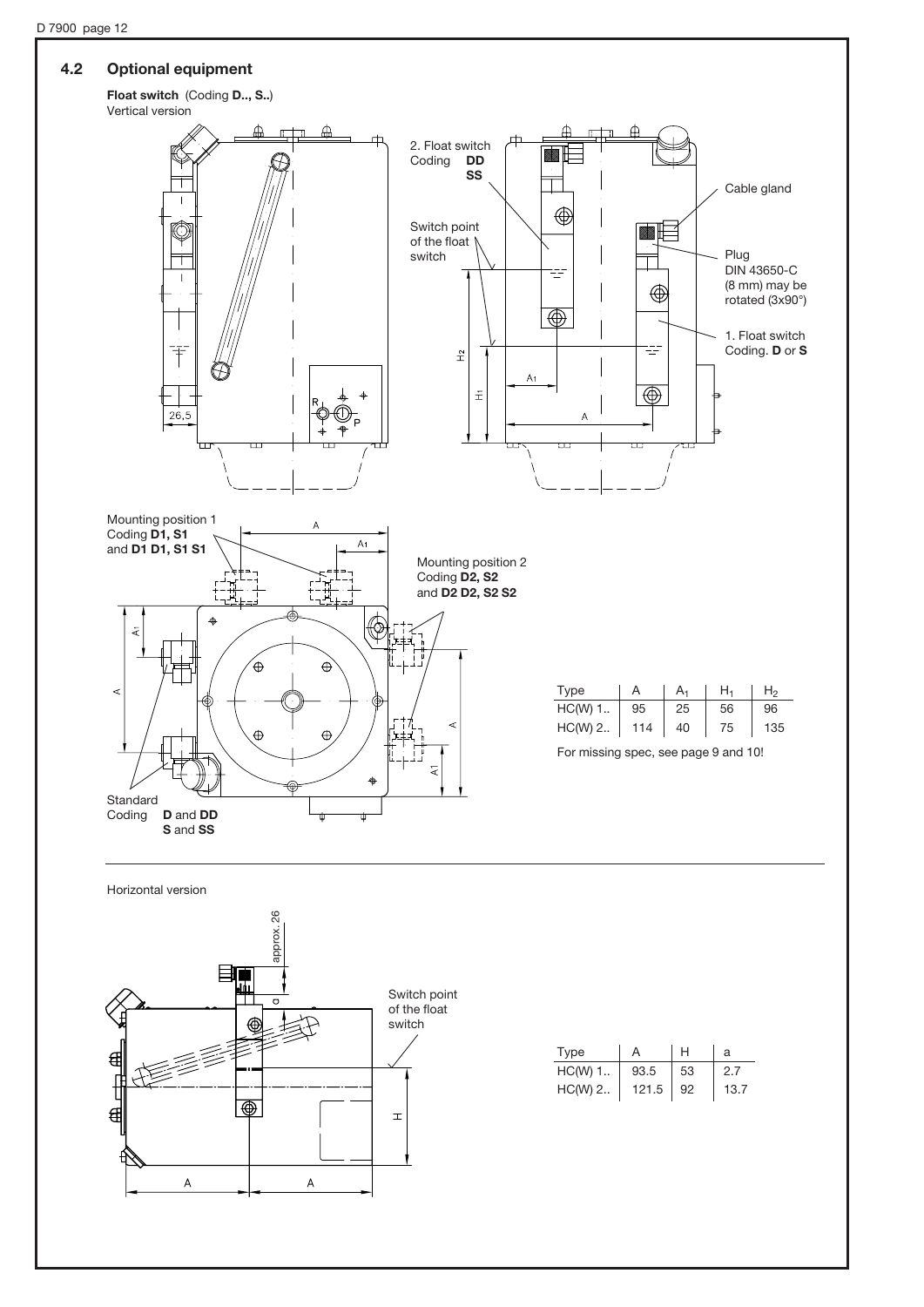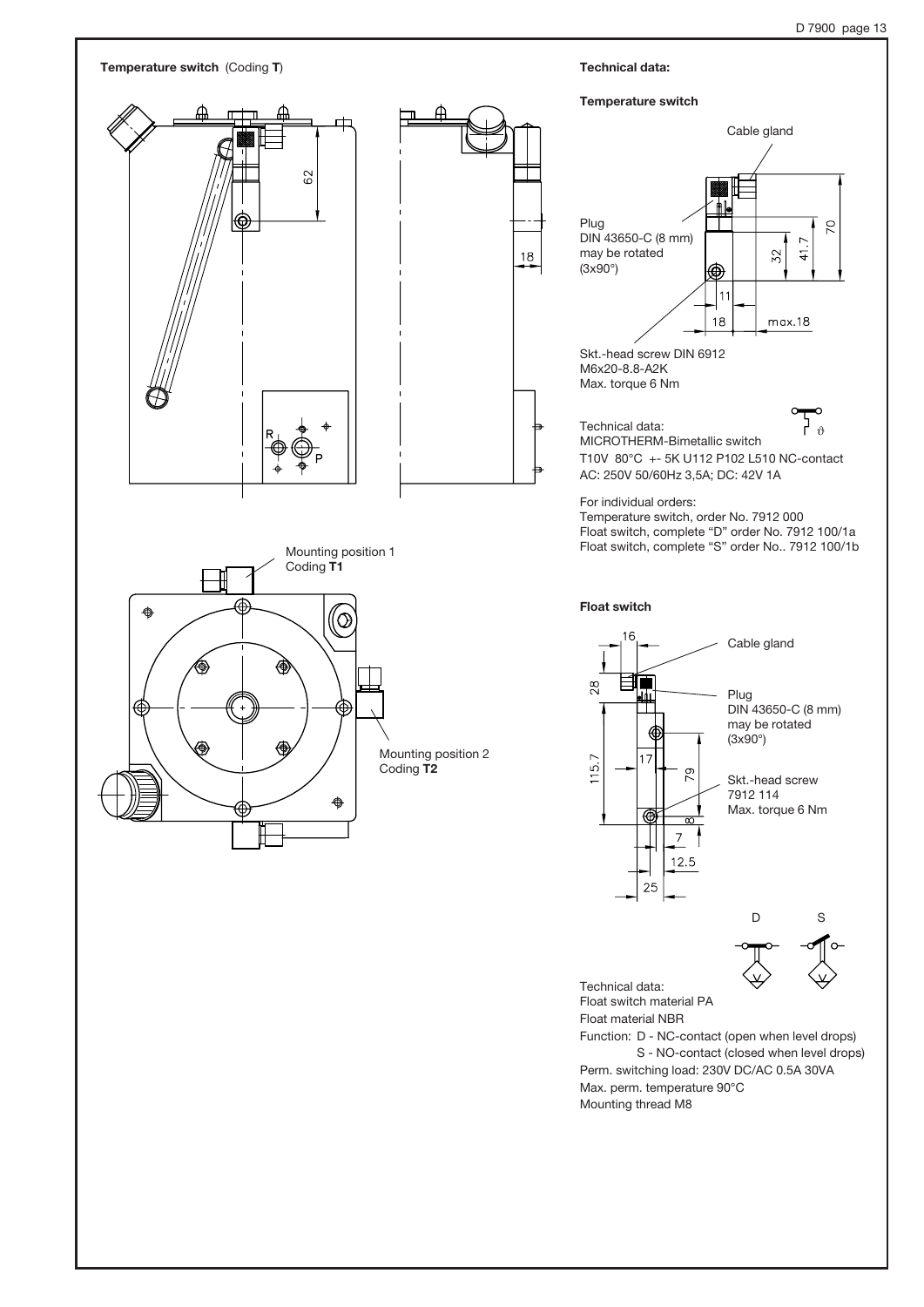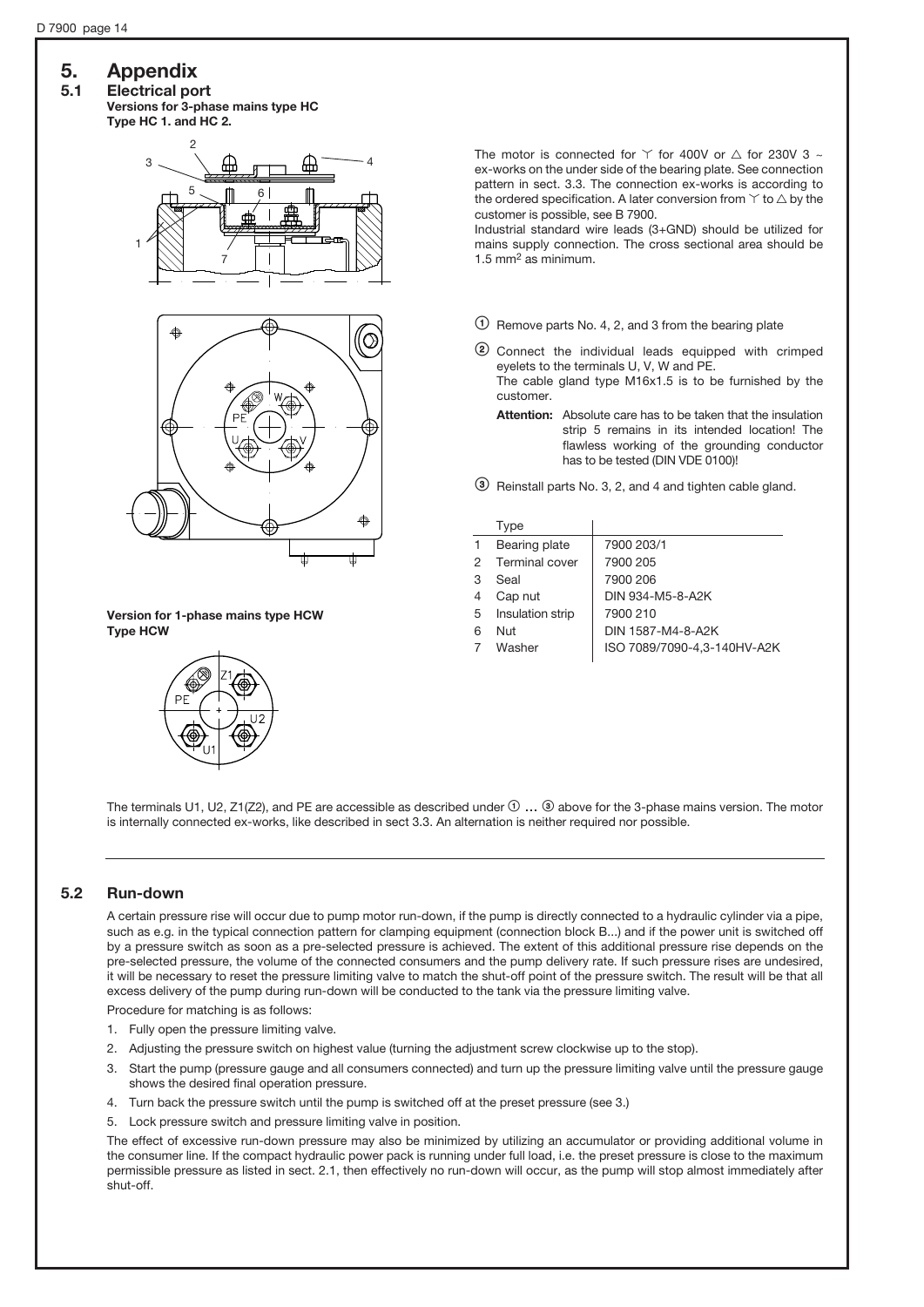# 5. Appendix

## 5.1 Electrical port

Versions for 3-phase mains type HC Type HC 1. and HC 2.





The motor is connected for  $\Upsilon$  for 400V or  $\wedge$  for 230V 3 ~ ex-works on the under side of the bearing plate. See connection pattern in sect. 3.3. The connection ex-works is according to the ordered specification. A later conversion from  $\Upsilon$  to  $\triangle$  by the customer is possible, see B 7900.

Industrial standard wire leads (3+GND) should be utilized for mains supply connection. The cross sectional area should be 1.5 mm2 as minimum.

- $\circled{1}$  Remove parts No. 4, 2, and 3 from the bearing plate
- <sup>2</sup> Connect the individual leads equipped with crimped eyelets to the terminals U, V, W and PE. The cable gland type M16x1.5 is to be furnished by the customer.
	- Attention: Absolute care has to be taken that the insulation strip 5 remains in its intended location! The flawless working of the grounding conductor has to be tested (DIN VDE 0100)!
- = Reinstall parts No. 3, 2, and 4 and tighten cable gland.

|   | Type             |                             |
|---|------------------|-----------------------------|
|   | Bearing plate    | 7900 203/1                  |
| 2 | Terminal cover   | 7900 205                    |
| 3 | Seal             | 7900 206                    |
| 4 | Cap nut          | DIN 934-M5-8-A2K            |
| 5 | Insulation strip | 7900 210                    |
| 6 | Nut              | DIN 1587-M4-8-A2K           |
|   | Washer           | ISO 7089/7090-4.3-140HV-A2K |
|   |                  |                             |

Version for 1-phase mains type HCW Type HCW



The terminals U1, U2, Z1(Z2), and PE are accessible as described under  $\mathcal{O}$  ...  $\circledcirc$  above for the 3-phase mains version. The motor is internally connected ex-works, like described in sect 3.3. An alternation is neither required nor possible.

### 5.2 Run-down

A certain pressure rise will occur due to pump motor run-down, if the pump is directly connected to a hydraulic cylinder via a pipe, such as e.g. in the typical connection pattern for clamping equipment (connection block B...) and if the power unit is switched off by a pressure switch as soon as a pre-selected pressure is achieved. The extent of this additional pressure rise depends on the pre-selected pressure, the volume of the connected consumers and the pump delivery rate. If such pressure rises are undesired, it will be necessary to reset the pressure limiting valve to match the shut-off point of the pressure switch. The result will be that all excess delivery of the pump during run-down will be conducted to the tank via the pressure limiting valve.

Procedure for matching is as follows:

- 1. Fully open the pressure limiting valve.
- 2. Adjusting the pressure switch on highest value (turning the adjustment screw clockwise up to the stop).
- 3. Start the pump (pressure gauge and all consumers connected) and turn up the pressure limiting valve until the pressure gauge shows the desired final operation pressure.
- 4. Turn back the pressure switch until the pump is switched off at the preset pressure (see 3.)
- 5. Lock pressure switch and pressure limiting valve in position.

The effect of excessive run-down pressure may also be minimized by utilizing an accumulator or providing additional volume in the consumer line. If the compact hydraulic power pack is running under full load, i.e. the preset pressure is close to the maximum permissible pressure as listed in sect. 2.1, then effectively no run-down will occur, as the pump will stop almost immediately after shut-off.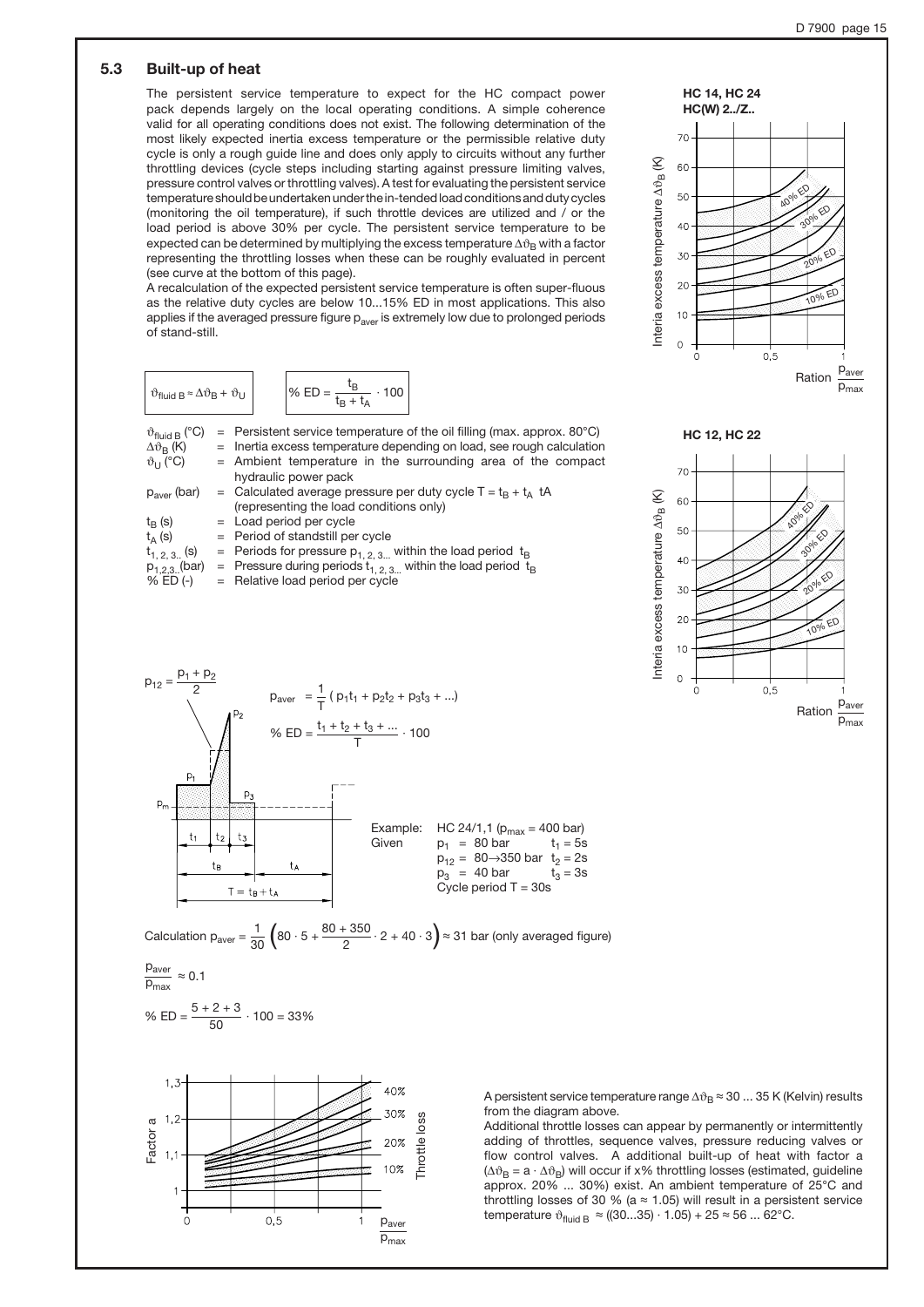## 5.3 Built-up of heat

The persistent service temperature to expect for the HC compact power pack depends largely on the local operating conditions. A simple coherence valid for all operating conditions does not exist. The following determination of the most likely expected inertia excess temperature or the permissible relative duty cycle is only a rough guide line and does only apply to circuits without any further throttling devices (cycle steps including starting against pressure limiting valves, pressure control valves or throttling valves). A test for evaluating the persistent service temperature should be undertaken under the in-tended load conditions and duty cycles (monitoring the oil temperature), if such throttle devices are utilized and / or the load period is above 30% per cycle. The persistent service temperature to be expected can be determined by multiplying the excess temperature  $\Delta \vartheta_B$  with a factor representing the throttling losses when these can be roughly evaluated in percent (see curve at the bottom of this page).

A recalculation of the expected persistent service temperature is often super-fluous as the relative duty cycles are below 10...15% ED in most applications. This also applies if the averaged pressure figure  $p_{\text{aver}}$  is extremely low due to prolonged periods of stand-still.

$$
\vartheta_{\text{fluid B}} \approx \Delta \vartheta_{\text{B}} + \vartheta_{\text{U}} \qquad \qquad \left| \vartheta_{\text{b}} \text{ ED} = \frac{t_{\text{B}}}{t_{\text{B}} + t_{\text{A}}} \cdot 100 \right|
$$

| $\vartheta_{\text{fluid B}}$ (°C)<br>$\Delta\vartheta_{\rm B}$ (K) | $=$ Persistent service temperature of the oil filling (max. approx. 80 $^{\circ}$ C)<br>= Inertia excess temperature depending on load, see rough calculation |
|--------------------------------------------------------------------|---------------------------------------------------------------------------------------------------------------------------------------------------------------|
|                                                                    |                                                                                                                                                               |
| $\vartheta_{\text{U}}$ (°C)                                        | $=$ Ambient temperature in the surrounding area of the compact                                                                                                |
|                                                                    | hydraulic power pack                                                                                                                                          |
| $p_{\text{aver}}$ (bar)                                            | = Calculated average pressure per duty cycle $T = t_B + t_A$ tA                                                                                               |
|                                                                    | (representing the load conditions only)                                                                                                                       |
| $t_{\rm R}$ (s)                                                    | $=$ Load period per cycle                                                                                                                                     |
| $t_A(s)$                                                           | $=$ Period of standstill per cycle                                                                                                                            |
| $t_{1, 2, 3}$ (s)                                                  | = Periods for pressure $p_{1,2,3}$ within the load period $t_B$                                                                                               |
| $p_{1,2,3}$ (bar)                                                  | = Pressure during periods $t_{1,2,3}$ within the load period $t_B$                                                                                            |
| $%$ ED $(-)$                                                       |                                                                                                                                                               |
|                                                                    | = Relative load period per cycle                                                                                                                              |



Calculation  $p_{\text{aver}} = \frac{1}{30} \left( 80 \cdot 5 + \frac{80 + 350}{2} \cdot 2 + 40 \cdot 3 \right) \approx 31$  bar (only averaged figure)  $\frac{1}{30}$  $\left(80 \cdot 5 + \frac{80 + 350}{2} \cdot 2 + 40 \cdot 3\right)$ 

$$
\frac{p_{\text{aver}}}{p_{\text{max}}} \approx 0.1
$$

% ED = 
$$
\frac{5+2+3}{50} \cdot 100 = 33\%
$$



A persistent service temperature range  $\Delta\vartheta_B \approx 30$  ... 35 K (Kelvin) results from the diagram above.

Additional throttle losses can appear by permanently or intermittently adding of throttles, sequence valves, pressure reducing valves or flow control valves. A additional built-up of heat with factor a  $(\Delta \vartheta_B = a \cdot \Delta \vartheta_B)$  will occur if x% throttling losses (estimated, guideline approx. 20% ... 30%) exist. An ambient temperature of 25°C and throttling losses of 30 % (a  $\approx$  1.05) will result in a persistent service temperature  $\vartheta_{\text{fluid B}} \approx ((30...35) \cdot 1.05) + 25 \approx 56 ... 62^{\circ} \text{C}.$ 



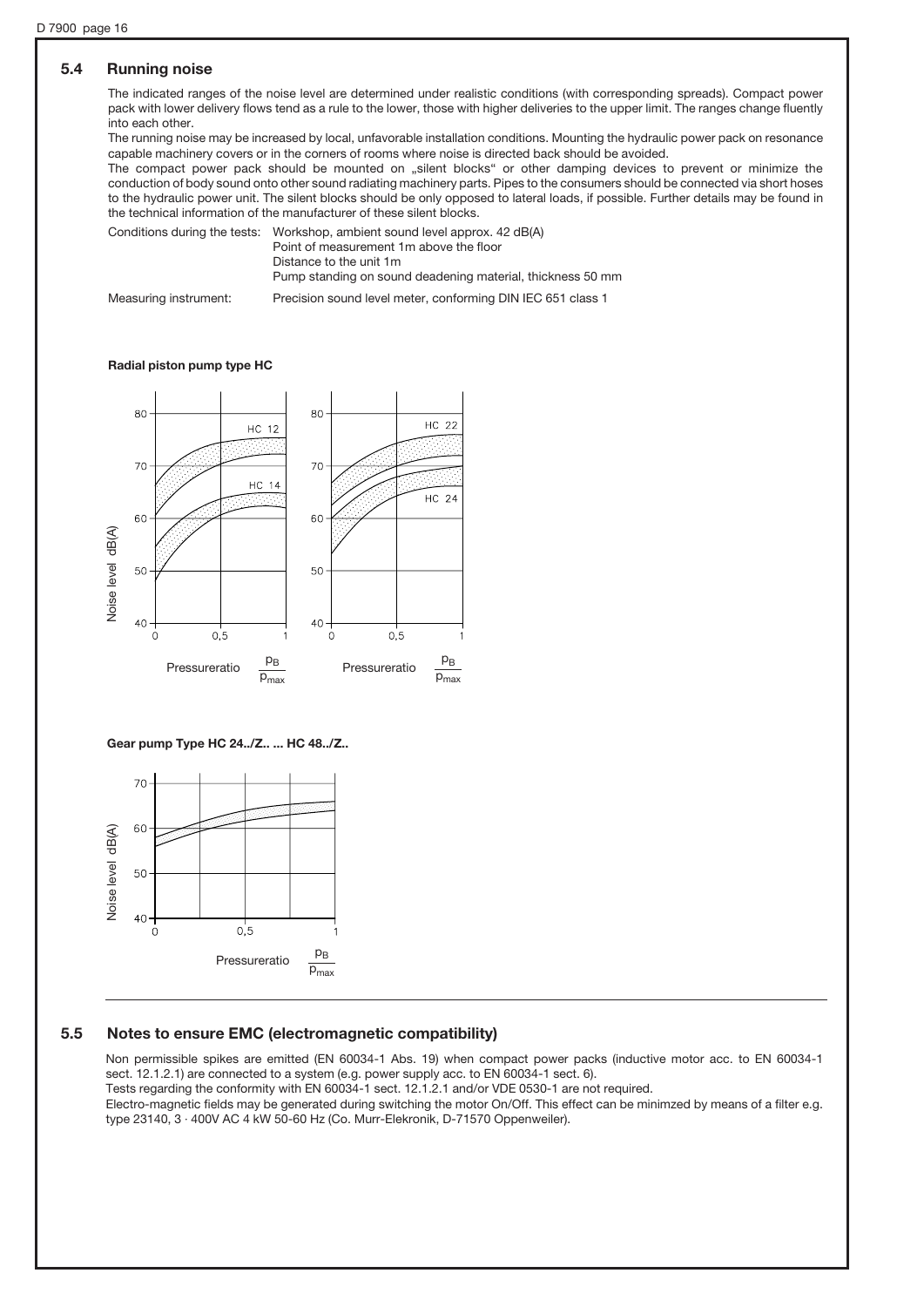### 5.4 Running noise

The indicated ranges of the noise level are determined under realistic conditions (with corresponding spreads). Compact power pack with lower delivery flows tend as a rule to the lower, those with higher deliveries to the upper limit. The ranges change fluently into each other.

The running noise may be increased by local, unfavorable installation conditions. Mounting the hydraulic power pack on resonance capable machinery covers or in the corners of rooms where noise is directed back should be avoided.

The compact power pack should be mounted on "silent blocks" or other damping devices to prevent or minimize the conduction of body sound onto other sound radiating machinery parts. Pipes to the consumers should be connected via short hoses to the hydraulic power unit. The silent blocks should be only opposed to lateral loads, if possible. Further details may be found in the technical information of the manufacturer of these silent blocks.

Conditions during the tests: Workshop, ambient sound level approx. 42 dB(A) Point of measurement 1m above the floor

Distance to the unit 1m

Pump standing on sound deadening material, thickness 50 mm

Measuring instrument: Precision sound level meter, conforming DIN IEC 651 class 1

#### Radial piston pump type HC



Gear pump Type HC 24../Z.. ... HC 48../Z..



#### 5.5 Notes to ensure EMC (electromagnetic compatibility)

Non permissible spikes are emitted (EN 60034-1 Abs. 19) when compact power packs (inductive motor acc. to EN 60034-1 sect. 12.1.2.1) are connected to a system (e.g. power supply acc. to EN 60034-1 sect. 6). Tests regarding the conformity with EN 60034-1 sect. 12.1.2.1 and/or VDE 0530-1 are not required. Electro-magnetic fields may be generated during switching the motor On/Off. This effect can be minimzed by means of a filter e.g. type 23140, 3 · 400V AC 4 kW 50-60 Hz (Co. Murr-Elekronik, D-71570 Oppenweiler).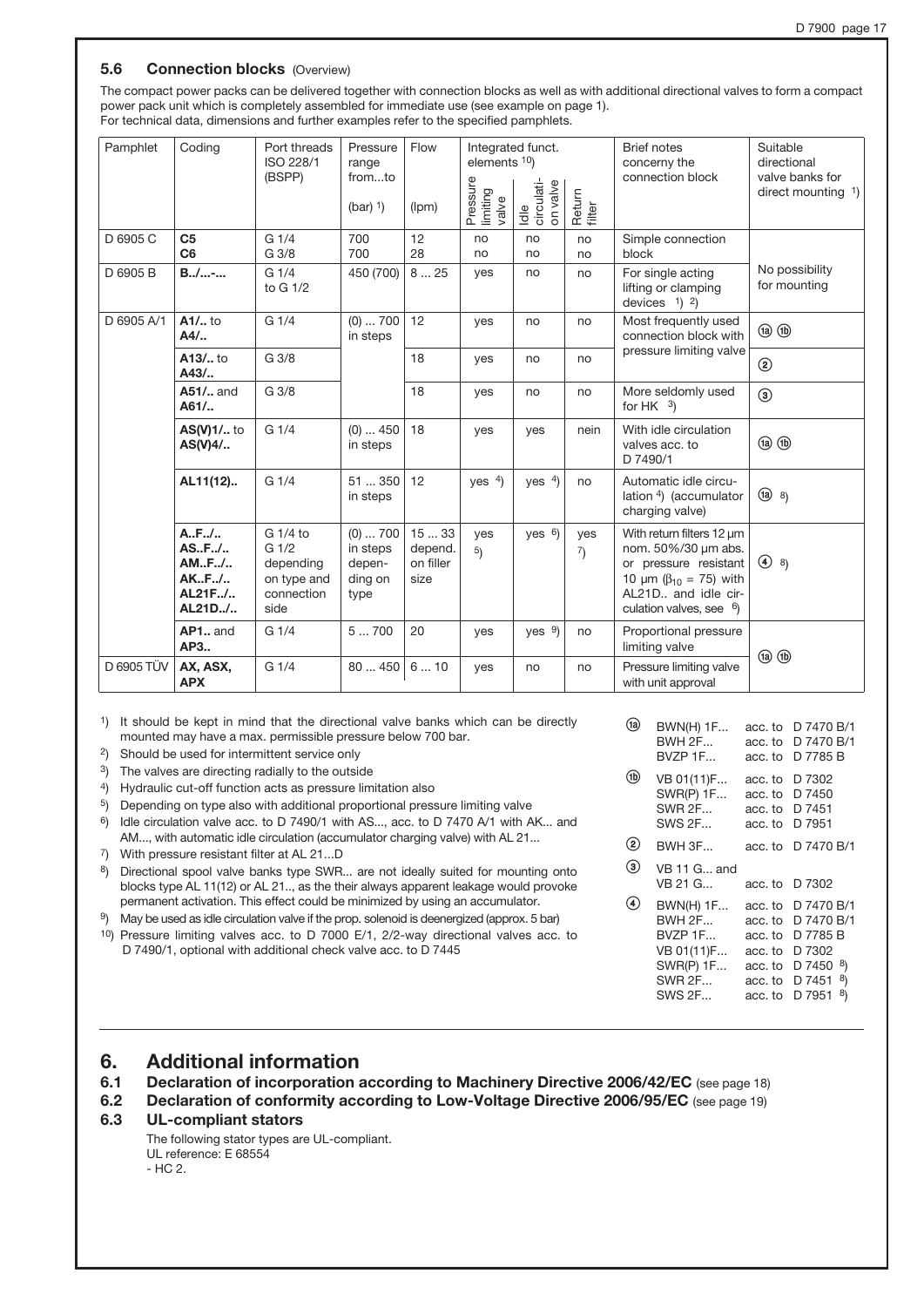#### **5.6 Connection blocks (Overview)**

The compact power packs can be delivered together with connection blocks as well as with additional directional valves to form a compact power pack unit which is completely assembled for immediate use (see example on page 1). For technical data, dimensions and further examples refer to the specified pamphlets.

| Pamphlet   | Coding                                                | Port threads<br>ISO 228/1<br>(BSPP)                                            | Pressure<br>range<br>fromto<br>$(bar)$ <sup>1</sup> )     | Flow<br>(lpm)                        | elements 10)<br>Pressure<br>limiting<br>valve | Integrated funct.<br>Idle<br>circulati-<br>on valve | Return<br>filter                    | <b>Brief notes</b><br>concerny the<br>connection block                                                                                                                | Suitable<br>directional<br>valve banks for<br>direct mounting $1$ ) |
|------------|-------------------------------------------------------|--------------------------------------------------------------------------------|-----------------------------------------------------------|--------------------------------------|-----------------------------------------------|-----------------------------------------------------|-------------------------------------|-----------------------------------------------------------------------------------------------------------------------------------------------------------------------|---------------------------------------------------------------------|
| D 6905 C   | C <sub>5</sub><br>C <sub>6</sub>                      | G <sub>1/4</sub><br>G 3/8                                                      | 700<br>700                                                | 12<br>28                             | no<br>no                                      | no<br>no                                            | no<br>no                            | Simple connection<br>block                                                                                                                                            |                                                                     |
| D 6905 B   | $B_{1}, /  - $                                        | G <sub>1/4</sub><br>to G 1/2                                                   | 450 (700)                                                 | 825                                  | yes                                           | no                                                  | no                                  | For single acting<br>lifting or clamping<br>devices $1$ 2)                                                                                                            | No possibility<br>for mounting                                      |
| D 6905 A/1 | $A1/$ to<br>$A4/$                                     | G <sub>1/4</sub>                                                               | $(0)$ 700<br>in steps                                     | 12                                   | yes                                           | no                                                  | no                                  | Most frequently used<br>connection block with                                                                                                                         | $\circledR$                                                         |
|            | $A13/$ to<br>$A43/$                                   | G 3/8                                                                          |                                                           | 18                                   | yes                                           | no                                                  | no                                  | pressure limiting valve                                                                                                                                               | ☺                                                                   |
|            | A51/ and<br>$A61/$                                    | G 3/8                                                                          |                                                           | 18                                   | yes                                           | no                                                  | no                                  | More seldomly used<br>for HK $3)$                                                                                                                                     | $\circledcirc$                                                      |
|            | AS(V)1/ to<br>$AS(V)4/$                               | G 1/4                                                                          | $(0)$ 450<br>in steps                                     | 18                                   | yes                                           | yes                                                 | nein                                | With idle circulation<br>valves acc. to<br>D 7490/1                                                                                                                   | $(a)$ $(b)$                                                         |
|            | AL11(12)                                              | G <sub>1/4</sub>                                                               | 51  350<br>in steps                                       | 12                                   | yes $4$ )                                     | yes $4$ )                                           | no                                  | Automatic idle circu-<br>lation 4) (accumulator<br>charging valve)                                                                                                    | (1a) 8                                                              |
|            | A., F.,/.<br>ASF/<br>AMF/<br>AKF/<br>AL21F/<br>AL21D/ | G 1/4 to<br>G <sub>1/2</sub><br>depending<br>on type and<br>connection<br>side | $(0) \ldots 700$<br>in steps<br>depen-<br>ding on<br>type | 1533<br>depend.<br>on filler<br>size | yes<br>5)                                     | yes $6$ )                                           | yes<br>$\left( \frac{7}{2} \right)$ | With return filters 12 um<br>nom. 50%/30 um abs.<br>or pressure resistant<br>10 $\mu$ m ( $\beta_{10}$ = 75) with<br>AL21D., and idle cir-<br>culation valves, see 6) | $(4)$ 8)                                                            |
|            | AP1 and<br>AP3                                        | G <sub>1/4</sub>                                                               | 5700                                                      | 20                                   | yes                                           | yes $9$                                             | no                                  | Proportional pressure<br>limiting valve                                                                                                                               | $\circledR$                                                         |
| D 6905 TÜV | AX, ASX,<br><b>APX</b>                                | G <sub>1/4</sub>                                                               | 80  450                                                   | 610                                  | yes                                           | no                                                  | no                                  | Pressure limiting valve<br>with unit approval                                                                                                                         |                                                                     |

1) It should be kept in mind that the directional valve banks which can be directly mounted may have a max. permissible pressure below 700 bar.

2) Should be used for intermittent service only

3) The valves are directing radially to the outside

4) Hydraulic cut-off function acts as pressure limitation also

5) Depending on type also with additional proportional pressure limiting valve

6) Idle circulation valve acc. to D 7490/1 with AS..., acc. to D 7470 A/1 with AK... and AM..., with automatic idle circulation (accumulator charging valve) with AL 21...

7) With pressure resistant filter at AL 21...D

8) Directional spool valve banks type SWR... are not ideally suited for mounting onto blocks type AL 11(12) or AL 21.., as the their always apparent leakage would provoke permanent activation. This effect could be minimized by using an accumulator.

9) May be used as idle circulation valve if the prop. solenoid is deenergized (approx. 5 bar)

10) Pressure limiting valves acc. to D 7000 E/1, 2/2-way directional valves acc. to D 7490/1, optional with additional check valve acc. to D 7445

|      | <b>BWN(H) 1F</b><br><b>BWH 2F</b><br>BVZP 1F                                                              | acc. to<br>acc. to<br>acc. to                                             | D 7470 B/1<br>D 7470 B/1<br>D 7785 B                                                           |
|------|-----------------------------------------------------------------------------------------------------------|---------------------------------------------------------------------------|------------------------------------------------------------------------------------------------|
| (1b) | VB 01(11)F<br><b>SWR(P) 1F</b><br><b>SWR 2F</b><br><b>SWS 2F</b>                                          | acc. to<br>acc. to<br>acc. to<br>acc. to                                  | D 7302<br>D 7450<br>D 7451<br>D 7951                                                           |
| (2)  | <b>BWH 3F</b>                                                                                             | acc. to                                                                   | D 7470 B/1                                                                                     |
| (3)  | VB 11 G and<br>VB 21 G                                                                                    | acc. to                                                                   | D 7302                                                                                         |
| 4    | <b>BWN(H) 1F</b><br><b>BWH 2F</b><br>BVZP 1F<br>VB 01(11)F<br><b>SWR(P) 1F</b><br><b>SWR 2F</b><br>SWS 2F | acc. to<br>acc. to<br>acc. to<br>acc. to<br>acc. to<br>acc. to<br>acc. to | D 7470 B/1<br>D 7470 B/1<br>D 7785 B<br>D 7302<br>D 7450<br>8)<br>D 7451<br>8)<br>D 7951<br>8) |

## 6. Additional information

6.1 Declaration of incorporation according to Machinery Directive 2006/42/EC (see page 18)

6.2 Declaration of conformity according to Low-Voltage Directive 2006/95/EC (see page 19)

#### 6.3 UL-compliant stators

The following stator types are UL-compliant. UL reference: E 68554 - HC 2.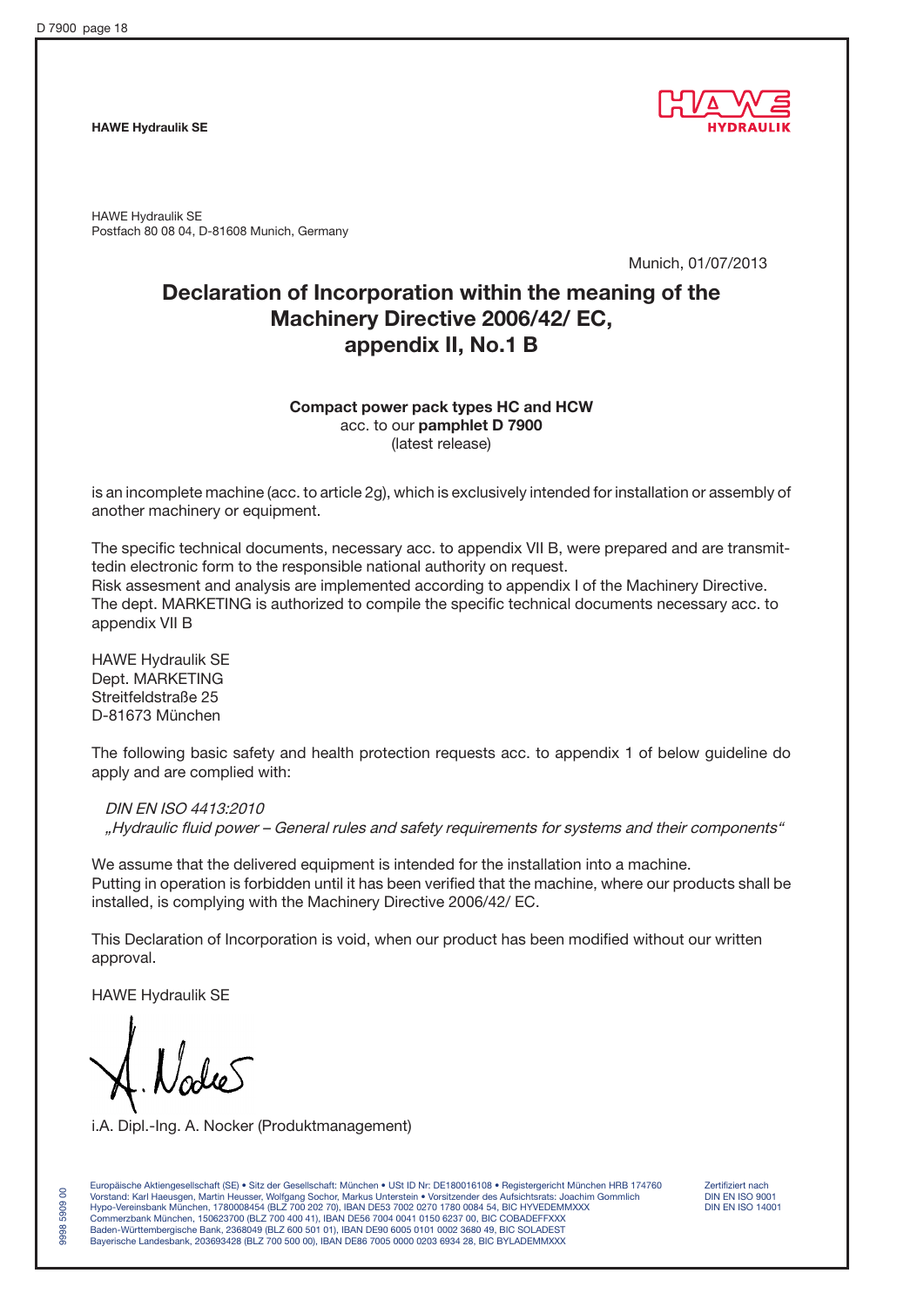HAWE Hydraulik SE



HAWE Hydraulik SE Postfach 80 08 04, D-81608 Munich, Germany

Munich, 01/07/2013

# Declaration of Incorporation within the meaning of the Machinery Directive 2006/42/ EC, appendix II, No.1 B

## Compact power pack types HC and HCW acc. to our pamphlet D 7900 (latest release)

is an incomplete machine (acc. to article 2g), which is exclusively intended for installation or assembly of another machinery or equipment.

The specific technical documents, necessary acc. to appendix VII B, were prepared and are transmittedin electronic form to the responsible national authority on request. Risk assesment and analysis are implemented according to appendix I of the Machinery Directive. The dept. MARKETING is authorized to compile the specific technical documents necessary acc. to appendix VII B

HAWE Hydraulik SE Dept. MARKETING Streitfeldstraße 25 D-81673 München

The following basic safety and health protection requests acc. to appendix 1 of below guideline do apply and are complied with:

DIN EN ISO 4413:2010 "Hydraulic fluid power – General rules and safety requirements for systems and their components"

We assume that the delivered equipment is intended for the installation into a machine. Putting in operation is forbidden until it has been verified that the machine, where our products shall be installed, is complying with the Machinery Directive 2006/42/ EC.

This Declaration of Incorporation is void, when our product has been modified without our written approval.

HAWE Hydraulik SE

9998 5909 00

 $\mathsf{S}$ 5909 9998

i.A. Dipl.-Ing. A. Nocker (Produktmanagement)

Europäische Aktiengesellschaft (SE) • Sitz der Gesellschaft: München • USt ID Nr: DE180016108 • Registergericht München HRB 174760 Zertifiziert nach<br>Vorstand: Karl Haeusgen. Martin Heusser. Wolfgang Sochor. Markus Unterst Vorstand: Karl Haeusgen, Martin Heusser, Wolfgang Sochor, Markus Unterstein • Vorsitzender des Aufsichtsrats: Joachim Gommlich DIN EN ISO 9001 Hypo-Vereinsbank München, 1780008454 (BLZ 700 202 70), IBAN DE53 7002 0270 1780 0084 54, BIC HYVEDEMMXXX DIN EN ISO 14001 Commerzbank München, 150623700 (BLZ 700 400 41), IBAN DE56 7004 0041 0150 6237 00, BIC COBADEFFXXX Baden-Württembergische Bank, 2368049 (BLZ 600 501 01), IBAN DE90 6005 0101 0002 3680 49, BIC SOLADEST Bayerische Landesbank, 203693428 (BLZ 700 500 00), IBAN DE86 7005 0000 0203 6934 28, BIC BYLADEMMXXX